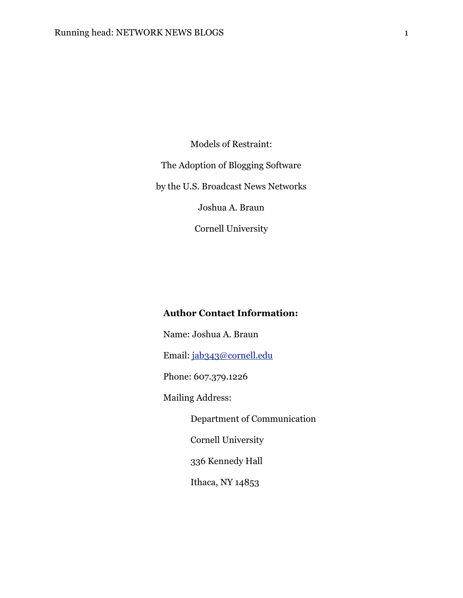Models of Restraint: The Adoption of Blogging Software by the U.S. Broadcast News Networks Joshua A. Braun Cornell University

# **Author Contact Information:**

 Name: Joshua A. Braun Email: [jab343@cornell.edu](mailto:jab343@cornell.edu) Phone: 607.379.1226 Mailing Address: Department of Communication Cornell University 336 Kennedy Hall Ithaca, NY 14853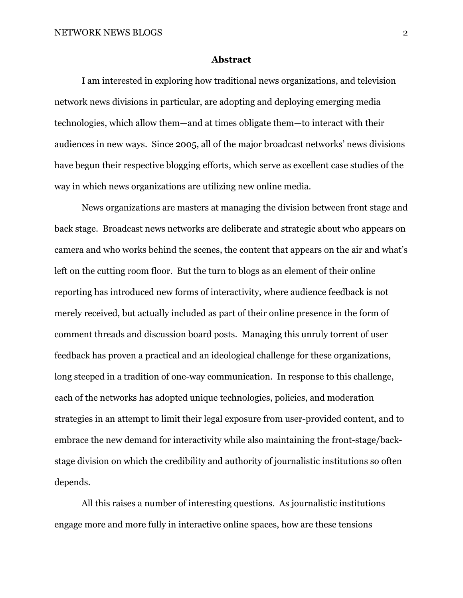#### **Abstract**

I am interested in exploring how traditional news organizations, and television network news divisions in particular, are adopting and deploying emerging media technologies, which allow them—and at times obligate them—to interact with their audiences in new ways. Since 2005, all of the major broadcast networks' news divisions have begun their respective blogging efforts, which serve as excellent case studies of the way in which news organizations are utilizing new online media.

News organizations are masters at managing the division between front stage and back stage. Broadcast news networks are deliberate and strategic about who appears on camera and who works behind the scenes, the content that appears on the air and what's left on the cutting room floor. But the turn to blogs as an element of their online reporting has introduced new forms of interactivity, where audience feedback is not merely received, but actually included as part of their online presence in the form of comment threads and discussion board posts. Managing this unruly torrent of user feedback has proven a practical and an ideological challenge for these organizations, long steeped in a tradition of one-way communication. In response to this challenge, each of the networks has adopted unique technologies, policies, and moderation strategies in an attempt to limit their legal exposure from user-provided content, and to embrace the new demand for interactivity while also maintaining the front-stage/backstage division on which the credibility and authority of journalistic institutions so often depends.

All this raises a number of interesting questions. As journalistic institutions engage more and more fully in interactive online spaces, how are these tensions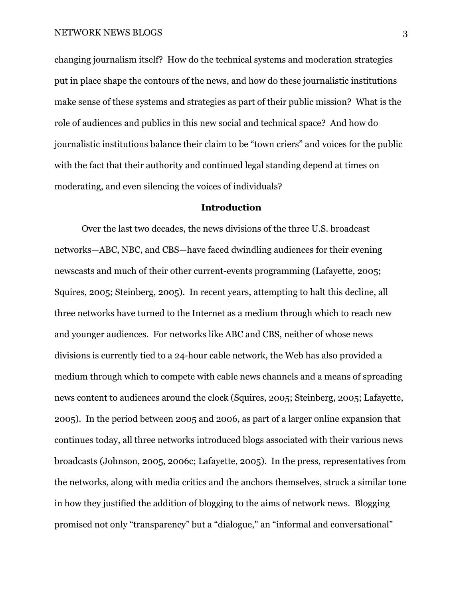changing journalism itself? How do the technical systems and moderation strategies put in place shape the contours of the news, and how do these journalistic institutions make sense of these systems and strategies as part of their public mission? What is the role of audiences and publics in this new social and technical space? And how do journalistic institutions balance their claim to be "town criers" and voices for the public with the fact that their authority and continued legal standing depend at times on moderating, and even silencing the voices of individuals?

# **Introduction**

Over the last two decades, the news divisions of the three U.S. broadcast networks—ABC, NBC, and CBS—have faced dwindling audiences for their evening newscasts and much of their other current-events programming (Lafayette, 2005; Squires, 2005; Steinberg, 2005). In recent years, attempting to halt this decline, all three networks have turned to the Internet as a medium through which to reach new and younger audiences. For networks like ABC and CBS, neither of whose news divisions is currently tied to a 24-hour cable network, the Web has also provided a medium through which to compete with cable news channels and a means of spreading news content to audiences around the clock (Squires, 2005; Steinberg, 2005; Lafayette, 2005). In the period between 2005 and 2006, as part of a larger online expansion that continues today, all three networks introduced blogs associated with their various news broadcasts (Johnson, 2005, 2006c; Lafayette, 2005). In the press, representatives from the networks, along with media critics and the anchors themselves, struck a similar tone in how they justified the addition of blogging to the aims of network news. Blogging promised not only "transparency" but a "dialogue," an "informal and conversational"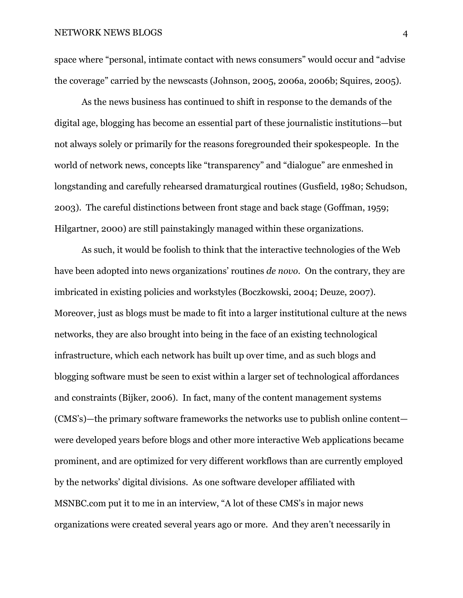space where "personal, intimate contact with news consumers" would occur and "advise the coverage" carried by the newscasts (Johnson, 2005, 2006a, 2006b; Squires, 2005).

 As the news business has continued to shift in response to the demands of the digital age, blogging has become an essential part of these journalistic institutions—but not always solely or primarily for the reasons foregrounded their spokespeople. In the world of network news, concepts like "transparency" and "dialogue" are enmeshed in longstanding and carefully rehearsed dramaturgical routines (Gusfield, 1980; Schudson, 2003). The careful distinctions between front stage and back stage (Goffman, 1959; Hilgartner, 2000) are still painstakingly managed within these organizations.

As such, it would be foolish to think that the interactive technologies of the Web have been adopted into news organizations' routines *de novo*. On the contrary, they are imbricated in existing policies and workstyles (Boczkowski, 2004; Deuze, 2007). Moreover, just as blogs must be made to fit into a larger institutional culture at the news networks, they are also brought into being in the face of an existing technological infrastructure, which each network has built up over time, and as such blogs and blogging software must be seen to exist within a larger set of technological affordances and constraints (Bijker, 2006). In fact, many of the content management systems (CMS's)—the primary software frameworks the networks use to publish online content were developed years before blogs and other more interactive Web applications became prominent, and are optimized for very different workflows than are currently employed by the networks' digital divisions. As one software developer affiliated with MSNBC.com put it to me in an interview, "A lot of these CMS's in major news organizations were created several years ago or more. And they aren't necessarily in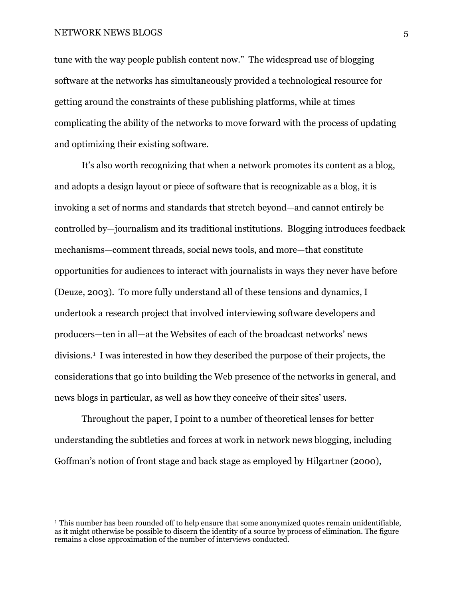tune with the way people publish content now." The widespread use of blogging software at the networks has simultaneously provided a technological resource for getting around the constraints of these publishing platforms, while at times complicating the ability of the networks to move forward with the process of updating and optimizing their existing software.

It's also worth recognizing that when a network promotes its content as a blog, and adopts a design layout or piece of software that is recognizable as a blog, it is invoking a set of norms and standards that stretch beyond—and cannot entirely be controlled by—journalism and its traditional institutions. Blogging introduces feedback mechanisms—comment threads, social news tools, and more—that constitute opportunities for audiences to interact with journalists in ways they never have before (Deuze, 2003). To more fully understand all of these tensions and dynamics, I undertook a research project that involved interviewing software developers and producers—ten in all—at the Websites of each of the broadcast networks' news divisions.[1](#page-4-0) I was interested in how they described the purpose of their projects, the considerations that go into building the Web presence of the networks in general, and news blogs in particular, as well as how they conceive of their sites' users.

Throughout the paper, I point to a number of theoretical lenses for better understanding the subtleties and forces at work in network news blogging, including Goffman's notion of front stage and back stage as employed by Hilgartner (2000),

<span id="page-4-0"></span><sup>1</sup> This number has been rounded off to help ensure that some anonymized quotes remain unidentifiable, as it might otherwise be possible to discern the identity of a source by process of elimination. The figure remains a close approximation of the number of interviews conducted.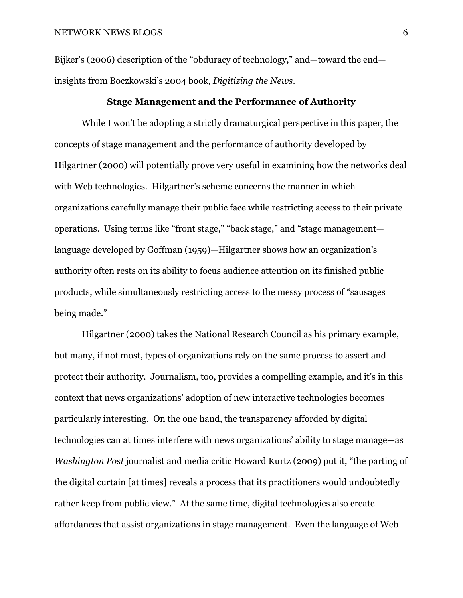Bijker's (2006) description of the "obduracy of technology," and—toward the end insights from Boczkowski's 2004 book, *Digitizing the News*.

## **Stage Management and the Performance of Authority**

 While I won't be adopting a strictly dramaturgical perspective in this paper, the concepts of stage management and the performance of authority developed by Hilgartner (2000) will potentially prove very useful in examining how the networks deal with Web technologies. Hilgartner's scheme concerns the manner in which organizations carefully manage their public face while restricting access to their private operations. Using terms like "front stage," "back stage," and "stage management language developed by Goffman (1959)—Hilgartner shows how an organization's authority often rests on its ability to focus audience attention on its finished public products, while simultaneously restricting access to the messy process of "sausages being made."

 Hilgartner (2000) takes the National Research Council as his primary example, but many, if not most, types of organizations rely on the same process to assert and protect their authority. Journalism, too, provides a compelling example, and it's in this context that news organizations' adoption of new interactive technologies becomes particularly interesting. On the one hand, the transparency afforded by digital technologies can at times interfere with news organizations' ability to stage manage—as *Washington Post* journalist and media critic Howard Kurtz (2009) put it, "the parting of the digital curtain [at times] reveals a process that its practitioners would undoubtedly rather keep from public view." At the same time, digital technologies also create affordances that assist organizations in stage management. Even the language of Web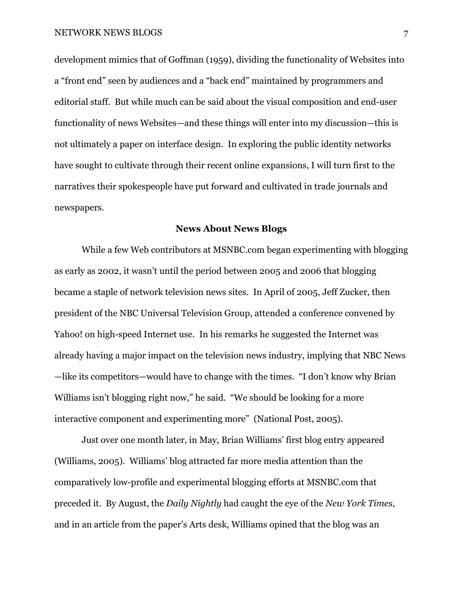development mimics that of Goffman (1959), dividing the functionality of Websites into a "front end" seen by audiences and a "back end" maintained by programmers and editorial staff. But while much can be said about the visual composition and end-user functionality of news Websites—and these things will enter into my discussion—this is not ultimately a paper on interface design. In exploring the public identity networks have sought to cultivate through their recent online expansions, I will turn first to the narratives their spokespeople have put forward and cultivated in trade journals and newspapers.

## **News About News Blogs**

 While a few Web contributors at MSNBC.com began experimenting with blogging as early as 2002, it wasn't until the period between 2005 and 2006 that blogging became a staple of network television news sites. In April of 2005, Jeff Zucker, then president of the NBC Universal Television Group, attended a conference convened by Yahoo! on high-speed Internet use. In his remarks he suggested the Internet was already having a major impact on the television news industry, implying that NBC News —like its competitors—would have to change with the times. "I don't know why Brian Williams isn't blogging right now," he said. "We should be looking for a more interactive component and experimenting more" (National Post, 2005).

 Just over one month later, in May, Brian Williams' first blog entry appeared (Williams, 2005). Williams' blog attracted far more media attention than the comparatively low-profile and experimental blogging efforts at MSNBC.com that preceded it. By August, the *Daily Nightly* had caught the eye of the *New York Times*, and in an article from the paper's Arts desk, Williams opined that the blog was an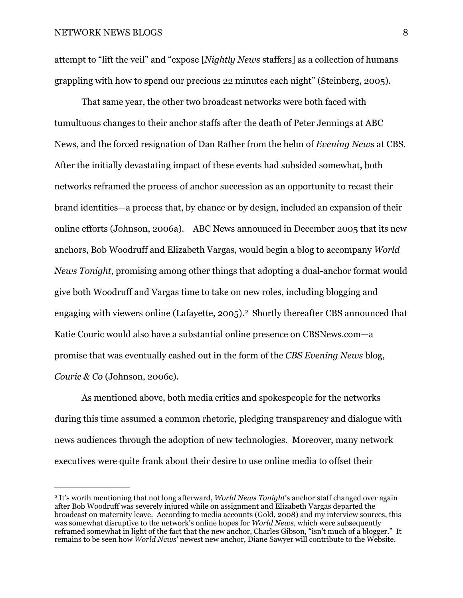attempt to "lift the veil" and "expose [*Nightly News* staffers] as a collection of humans grappling with how to spend our precious 22 minutes each night" (Steinberg, 2005).

 That same year, the other two broadcast networks were both faced with tumultuous changes to their anchor staffs after the death of Peter Jennings at ABC News, and the forced resignation of Dan Rather from the helm of *Evening News* at CBS. After the initially devastating impact of these events had subsided somewhat, both networks reframed the process of anchor succession as an opportunity to recast their brand identities—a process that, by chance or by design, included an expansion of their online efforts (Johnson, 2006a). ABC News announced in December 2005 that its new anchors, Bob Woodruff and Elizabeth Vargas, would begin a blog to accompany *World News Tonight*, promising among other things that adopting a dual-anchor format would give both Woodruff and Vargas time to take on new roles, including blogging and engaging with viewers online (Lafayette, [2](#page-7-0)005).<sup>2</sup> Shortly thereafter CBS announced that Katie Couric would also have a substantial online presence on CBSNews.com—a promise that was eventually cashed out in the form of the *CBS Evening News* blog, *Couric & Co* (Johnson, 2006c)*.*

As mentioned above, both media critics and spokespeople for the networks during this time assumed a common rhetoric, pledging transparency and dialogue with news audiences through the adoption of new technologies. Moreover, many network executives were quite frank about their desire to use online media to offset their

<span id="page-7-0"></span><sup>2</sup> It's worth mentioning that not long afterward, *World News Tonight*'s anchor staff changed over again after Bob Woodruff was severely injured while on assignment and Elizabeth Vargas departed the broadcast on maternity leave. According to media accounts (Gold, 2008) and my interview sources, this was somewhat disruptive to the network's online hopes for *World News,* which were subsequently reframed somewhat in light of the fact that the new anchor, Charles Gibson, "isn't much of a blogger." It remains to be seen how *World News*' newest new anchor, Diane Sawyer will contribute to the Website.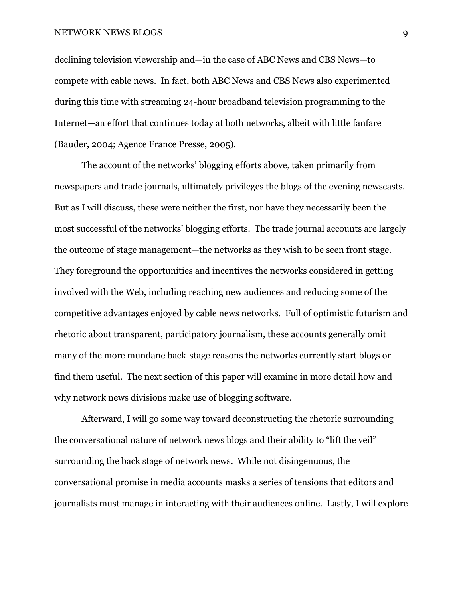declining television viewership and—in the case of ABC News and CBS News—to compete with cable news. In fact, both ABC News and CBS News also experimented during this time with streaming 24-hour broadband television programming to the Internet—an effort that continues today at both networks, albeit with little fanfare (Bauder, 2004; Agence France Presse, 2005).

 The account of the networks' blogging efforts above, taken primarily from newspapers and trade journals, ultimately privileges the blogs of the evening newscasts. But as I will discuss, these were neither the first, nor have they necessarily been the most successful of the networks' blogging efforts. The trade journal accounts are largely the outcome of stage management—the networks as they wish to be seen front stage. They foreground the opportunities and incentives the networks considered in getting involved with the Web, including reaching new audiences and reducing some of the competitive advantages enjoyed by cable news networks. Full of optimistic futurism and rhetoric about transparent, participatory journalism, these accounts generally omit many of the more mundane back-stage reasons the networks currently start blogs or find them useful. The next section of this paper will examine in more detail how and why network news divisions make use of blogging software.

 Afterward, I will go some way toward deconstructing the rhetoric surrounding the conversational nature of network news blogs and their ability to "lift the veil" surrounding the back stage of network news. While not disingenuous, the conversational promise in media accounts masks a series of tensions that editors and journalists must manage in interacting with their audiences online. Lastly, I will explore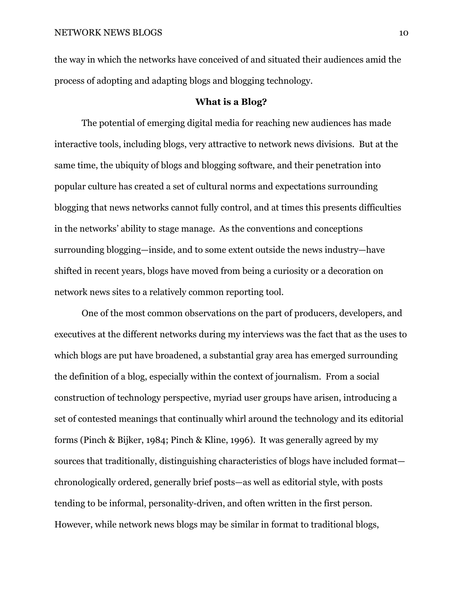the way in which the networks have conceived of and situated their audiences amid the process of adopting and adapting blogs and blogging technology.

# **What is a Blog?**

 The potential of emerging digital media for reaching new audiences has made interactive tools, including blogs, very attractive to network news divisions. But at the same time, the ubiquity of blogs and blogging software, and their penetration into popular culture has created a set of cultural norms and expectations surrounding blogging that news networks cannot fully control, and at times this presents difficulties in the networks' ability to stage manage. As the conventions and conceptions surrounding blogging—inside, and to some extent outside the news industry—have shifted in recent years, blogs have moved from being a curiosity or a decoration on network news sites to a relatively common reporting tool.

 One of the most common observations on the part of producers, developers, and executives at the different networks during my interviews was the fact that as the uses to which blogs are put have broadened, a substantial gray area has emerged surrounding the definition of a blog, especially within the context of journalism. From a social construction of technology perspective, myriad user groups have arisen, introducing a set of contested meanings that continually whirl around the technology and its editorial forms (Pinch & Bijker, 1984; Pinch & Kline, 1996). It was generally agreed by my sources that traditionally, distinguishing characteristics of blogs have included format chronologically ordered, generally brief posts—as well as editorial style, with posts tending to be informal, personality-driven, and often written in the first person. However, while network news blogs may be similar in format to traditional blogs,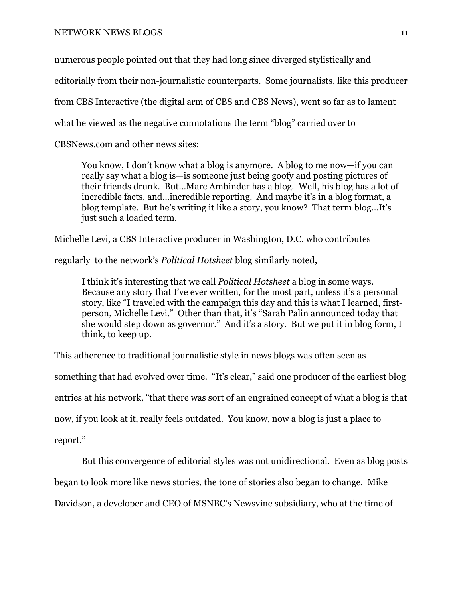numerous people pointed out that they had long since diverged stylistically and

editorially from their non-journalistic counterparts. Some journalists, like this producer

from CBS Interactive (the digital arm of CBS and CBS News), went so far as to lament

what he viewed as the negative connotations the term "blog" carried over to

CBSNews.com and other news sites:

You know, I don't know what a blog is anymore. A blog to me now—if you can really say what a blog is—is someone just being goofy and posting pictures of their friends drunk. But...Marc Ambinder has a blog. Well, his blog has a lot of incredible facts, and...incredible reporting. And maybe it's in a blog format, a blog template. But he's writing it like a story, you know? That term blog...It's just such a loaded term.

Michelle Levi, a CBS Interactive producer in Washington, D.C. who contributes

regularly to the network's *Political Hotsheet* blog similarly noted,

I think it's interesting that we call *Political Hotsheet* a blog in some ways. Because any story that I've ever written, for the most part, unless it's a personal story, like "I traveled with the campaign this day and this is what I learned, firstperson, Michelle Levi." Other than that, it's "Sarah Palin announced today that she would step down as governor." And it's a story. But we put it in blog form, I think, to keep up.

This adherence to traditional journalistic style in news blogs was often seen as

something that had evolved over time. "It's clear," said one producer of the earliest blog

entries at his network, "that there was sort of an engrained concept of what a blog is that

now, if you look at it, really feels outdated. You know, now a blog is just a place to

report."

But this convergence of editorial styles was not unidirectional. Even as blog posts

began to look more like news stories, the tone of stories also began to change. Mike

Davidson, a developer and CEO of MSNBC's Newsvine subsidiary, who at the time of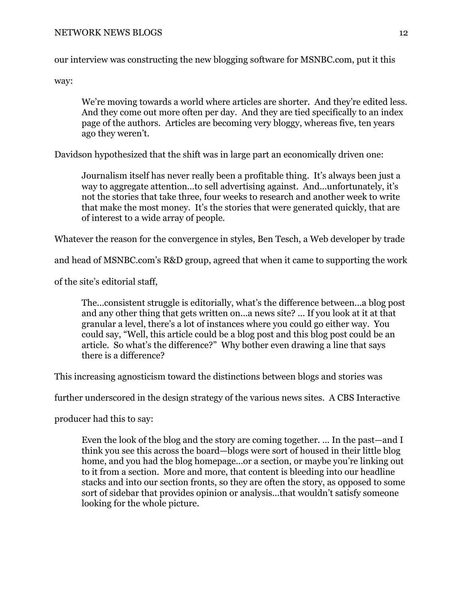our interview was constructing the new blogging software for MSNBC.com, put it this

way:

We're moving towards a world where articles are shorter. And they're edited less. And they come out more often per day. And they are tied specifically to an index page of the authors. Articles are becoming very bloggy, whereas five, ten years ago they weren't.

Davidson hypothesized that the shift was in large part an economically driven one:

Journalism itself has never really been a profitable thing. It's always been just a way to aggregate attention...to sell advertising against. And...unfortunately, it's not the stories that take three, four weeks to research and another week to write that make the most money. It's the stories that were generated quickly, that are of interest to a wide array of people.

Whatever the reason for the convergence in styles, Ben Tesch, a Web developer by trade

and head of MSNBC.com's R&D group, agreed that when it came to supporting the work

of the site's editorial staff,

The...consistent struggle is editorially, what's the difference between...a blog post and any other thing that gets written on...a news site? ... If you look at it at that granular a level, there's a lot of instances where you could go either way. You could say, "Well, this article could be a blog post and this blog post could be an article. So what's the difference?" Why bother even drawing a line that says there is a difference?

This increasing agnosticism toward the distinctions between blogs and stories was

further underscored in the design strategy of the various news sites. A CBS Interactive

producer had this to say:

Even the look of the blog and the story are coming together. ... In the past—and I think you see this across the board—blogs were sort of housed in their little blog home, and you had the blog homepage...or a section, or maybe you're linking out to it from a section. More and more, that content is bleeding into our headline stacks and into our section fronts, so they are often the story, as opposed to some sort of sidebar that provides opinion or analysis...that wouldn't satisfy someone looking for the whole picture.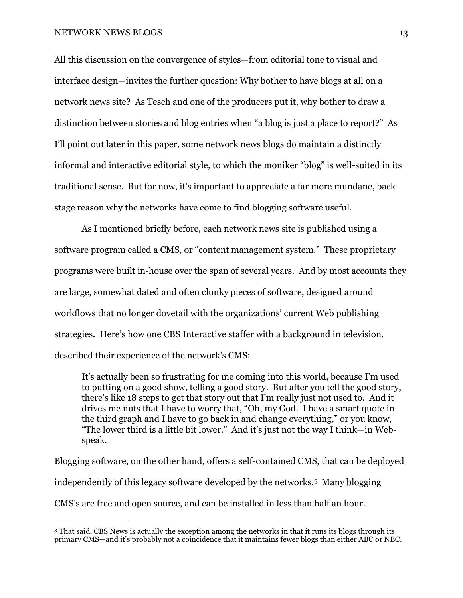All this discussion on the convergence of styles—from editorial tone to visual and interface design—invites the further question: Why bother to have blogs at all on a network news site? As Tesch and one of the producers put it, why bother to draw a distinction between stories and blog entries when "a blog is just a place to report?" As I'll point out later in this paper, some network news blogs do maintain a distinctly informal and interactive editorial style, to which the moniker "blog" is well-suited in its traditional sense. But for now, it's important to appreciate a far more mundane, backstage reason why the networks have come to find blogging software useful.

 As I mentioned briefly before, each network news site is published using a software program called a CMS, or "content management system." These proprietary programs were built in-house over the span of several years. And by most accounts they are large, somewhat dated and often clunky pieces of software, designed around workflows that no longer dovetail with the organizations' current Web publishing strategies. Here's how one CBS Interactive staffer with a background in television, described their experience of the network's CMS:

It's actually been so frustrating for me coming into this world, because I'm used to putting on a good show, telling a good story. But after you tell the good story, there's like 18 steps to get that story out that I'm really just not used to. And it drives me nuts that I have to worry that, "Oh, my God. I have a smart quote in the third graph and I have to go back in and change everything," or you know, "The lower third is a little bit lower." And it's just not the way I think—in Webspeak.

Blogging software, on the other hand, offers a self-contained CMS, that can be deployed independently of this legacy software developed by the networks.[3](#page-12-0) Many blogging CMS's are free and open source, and can be installed in less than half an hour.

<span id="page-12-0"></span><sup>3</sup> That said, CBS News is actually the exception among the networks in that it runs its blogs through its primary CMS—and it's probably not a coincidence that it maintains fewer blogs than either ABC or NBC.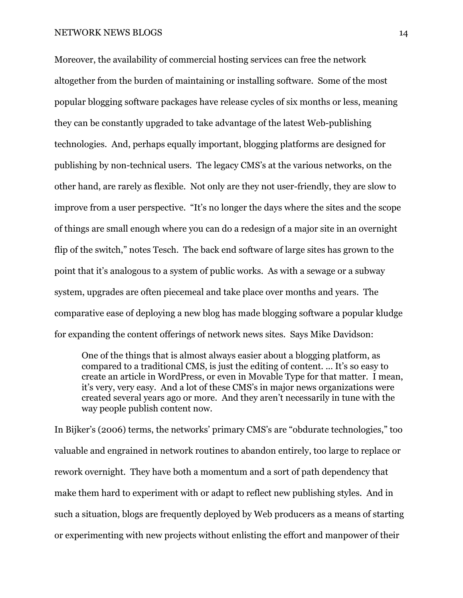Moreover, the availability of commercial hosting services can free the network altogether from the burden of maintaining or installing software. Some of the most popular blogging software packages have release cycles of six months or less, meaning they can be constantly upgraded to take advantage of the latest Web-publishing technologies. And, perhaps equally important, blogging platforms are designed for publishing by non-technical users. The legacy CMS's at the various networks, on the other hand, are rarely as flexible. Not only are they not user-friendly, they are slow to improve from a user perspective. "It's no longer the days where the sites and the scope of things are small enough where you can do a redesign of a major site in an overnight flip of the switch," notes Tesch. The back end software of large sites has grown to the point that it's analogous to a system of public works. As with a sewage or a subway system, upgrades are often piecemeal and take place over months and years. The comparative ease of deploying a new blog has made blogging software a popular kludge for expanding the content offerings of network news sites. Says Mike Davidson:

One of the things that is almost always easier about a blogging platform, as compared to a traditional CMS, is just the editing of content. ... It's so easy to create an article in WordPress, or even in Movable Type for that matter. I mean, it's very, very easy. And a lot of these CMS's in major news organizations were created several years ago or more. And they aren't necessarily in tune with the way people publish content now.

In Bijker's (2006) terms, the networks' primary CMS's are "obdurate technologies," too valuable and engrained in network routines to abandon entirely, too large to replace or rework overnight. They have both a momentum and a sort of path dependency that make them hard to experiment with or adapt to reflect new publishing styles. And in such a situation, blogs are frequently deployed by Web producers as a means of starting or experimenting with new projects without enlisting the effort and manpower of their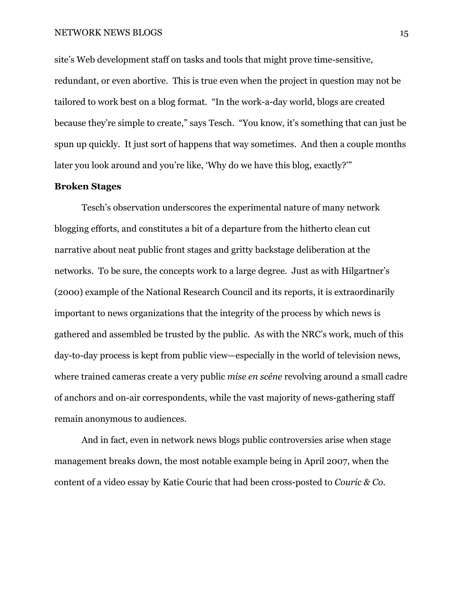site's Web development staff on tasks and tools that might prove time-sensitive, redundant, or even abortive. This is true even when the project in question may not be tailored to work best on a blog format. "In the work-a-day world, blogs are created because they're simple to create," says Tesch. "You know, it's something that can just be spun up quickly. It just sort of happens that way sometimes. And then a couple months later you look around and you're like, 'Why do we have this blog, exactly?'"

## **Broken Stages**

 Tesch's observation underscores the experimental nature of many network blogging efforts, and constitutes a bit of a departure from the hitherto clean cut narrative about neat public front stages and gritty backstage deliberation at the networks. To be sure, the concepts work to a large degree. Just as with Hilgartner's (2000) example of the National Research Council and its reports, it is extraordinarily important to news organizations that the integrity of the process by which news is gathered and assembled be trusted by the public. As with the NRC's work, much of this day-to-day process is kept from public view—especially in the world of television news, where trained cameras create a very public *mise en scéne* revolving around a small cadre of anchors and on-air correspondents, while the vast majority of news-gathering staff remain anonymous to audiences.

 And in fact, even in network news blogs public controversies arise when stage management breaks down, the most notable example being in April 2007, when the content of a video essay by Katie Couric that had been cross-posted to *Couric & Co.*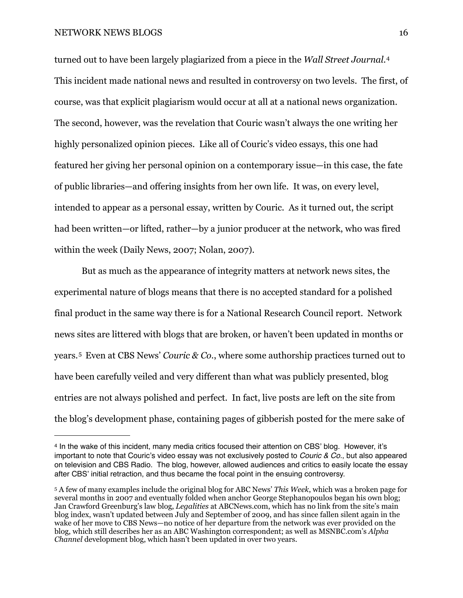turned out to have been largely plagiarized from a piece in the *Wall Street Journal.*[4](#page-15-0) This incident made national news and resulted in controversy on two levels. The first, of course, was that explicit plagiarism would occur at all at a national news organization. The second, however, was the revelation that Couric wasn't always the one writing her highly personalized opinion pieces. Like all of Couric's video essays, this one had featured her giving her personal opinion on a contemporary issue—in this case, the fate of public libraries—and offering insights from her own life. It was, on every level, intended to appear as a personal essay, written by Couric. As it turned out, the script had been written—or lifted, rather—by a junior producer at the network, who was fired within the week (Daily News, 2007; Nolan, 2007).

 But as much as the appearance of integrity matters at network news sites, the experimental nature of blogs means that there is no accepted standard for a polished final product in the same way there is for a National Research Council report. Network news sites are littered with blogs that are broken, or haven't been updated in months or years.[5](#page-15-1) Even at CBS News' *Couric & Co.*, where some authorship practices turned out to have been carefully veiled and very different than what was publicly presented, blog entries are not always polished and perfect. In fact, live posts are left on the site from the blog's development phase, containing pages of gibberish posted for the mere sake of

<span id="page-15-0"></span><sup>4</sup> In the wake of this incident, many media critics focused their attention on CBS' blog. However, it's important to note that Couric's video essay was not exclusively posted to *Couric & Co.*, but also appeared on television and CBS Radio. The blog, however, allowed audiences and critics to easily locate the essay after CBS' initial retraction, and thus became the focal point in the ensuing controversy.

<span id="page-15-1"></span><sup>5</sup> A few of many examples include the original blog for ABC News' *This Week*, which was a broken page for several months in 2007 and eventually folded when anchor George Stephanopoulos began his own blog; Jan Crawford Greenburg's law blog, *Legalities* at ABCNews.com, which has no link from the site's main blog index, wasn't updated between July and September of 2009, and has since fallen silent again in the wake of her move to CBS News—no notice of her departure from the network was ever provided on the blog, which still describes her as an ABC Washington correspondent; as well as MSNBC.com's *Alpha Channel* development blog, which hasn't been updated in over two years.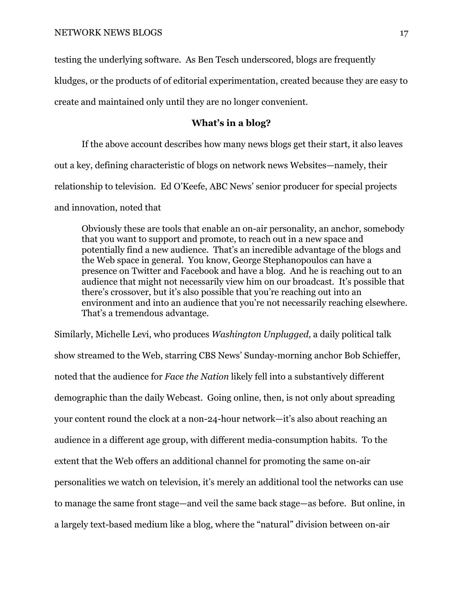testing the underlying software. As Ben Tesch underscored, blogs are frequently

kludges, or the products of of editorial experimentation, created because they are easy to

create and maintained only until they are no longer convenient.

# **What's in a blog?**

 If the above account describes how many news blogs get their start, it also leaves out a key, defining characteristic of blogs on network news Websites—namely, their relationship to television. Ed O'Keefe, ABC News' senior producer for special projects and innovation, noted that

Obviously these are tools that enable an on-air personality, an anchor, somebody that you want to support and promote, to reach out in a new space and potentially find a new audience. That's an incredible advantage of the blogs and the Web space in general. You know, George Stephanopoulos can have a presence on Twitter and Facebook and have a blog. And he is reaching out to an audience that might not necessarily view him on our broadcast. It's possible that there's crossover, but it's also possible that you're reaching out into an environment and into an audience that you're not necessarily reaching elsewhere. That's a tremendous advantage.

Similarly, Michelle Levi, who produces *Washington Unplugged,* a daily political talk show streamed to the Web, starring CBS News' Sunday-morning anchor Bob Schieffer, noted that the audience for *Face the Nation* likely fell into a substantively different demographic than the daily Webcast. Going online, then, is not only about spreading your content round the clock at a non-24-hour network—it's also about reaching an audience in a different age group, with different media-consumption habits. To the extent that the Web offers an additional channel for promoting the same on-air personalities we watch on television, it's merely an additional tool the networks can use to manage the same front stage—and veil the same back stage—as before. But online, in a largely text-based medium like a blog, where the "natural" division between on-air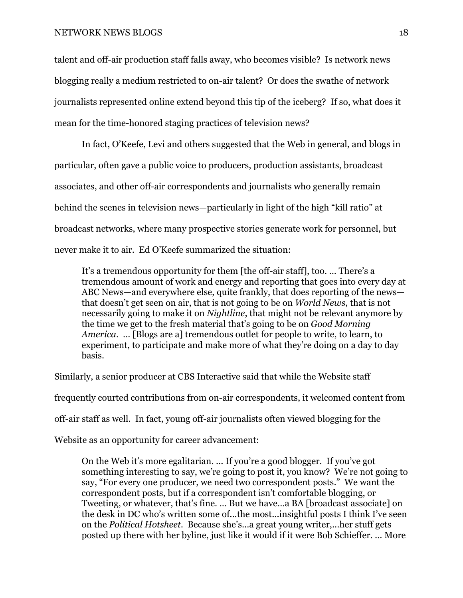talent and off-air production staff falls away, who becomes visible? Is network news blogging really a medium restricted to on-air talent? Or does the swathe of network journalists represented online extend beyond this tip of the iceberg? If so, what does it mean for the time-honored staging practices of television news?

 In fact, O'Keefe, Levi and others suggested that the Web in general, and blogs in particular, often gave a public voice to producers, production assistants, broadcast associates, and other off-air correspondents and journalists who generally remain behind the scenes in television news—particularly in light of the high "kill ratio" at broadcast networks, where many prospective stories generate work for personnel, but never make it to air. Ed O'Keefe summarized the situation:

It's a tremendous opportunity for them [the off-air staff], too. ... There's a tremendous amount of work and energy and reporting that goes into every day at ABC News—and everywhere else, quite frankly, that does reporting of the news that doesn't get seen on air, that is not going to be on *World News*, that is not necessarily going to make it on *Nightline*, that might not be relevant anymore by the time we get to the fresh material that's going to be on *Good Morning America*. ... [Blogs are a] tremendous outlet for people to write, to learn, to experiment, to participate and make more of what they're doing on a day to day basis.

Similarly, a senior producer at CBS Interactive said that while the Website staff

frequently courted contributions from on-air correspondents, it welcomed content from

off-air staff as well. In fact, young off-air journalists often viewed blogging for the

Website as an opportunity for career advancement:

On the Web it's more egalitarian. ... If you're a good blogger. If you've got something interesting to say, we're going to post it, you know? We're not going to say, "For every one producer, we need two correspondent posts." We want the correspondent posts, but if a correspondent isn't comfortable blogging, or Tweeting, or whatever, that's fine. ... But we have...a BA [broadcast associate] on the desk in DC who's written some of...the most...insightful posts I think I've seen on the *Political Hotsheet.* Because she's...a great young writer,...her stuff gets posted up there with her byline, just like it would if it were Bob Schieffer. ... More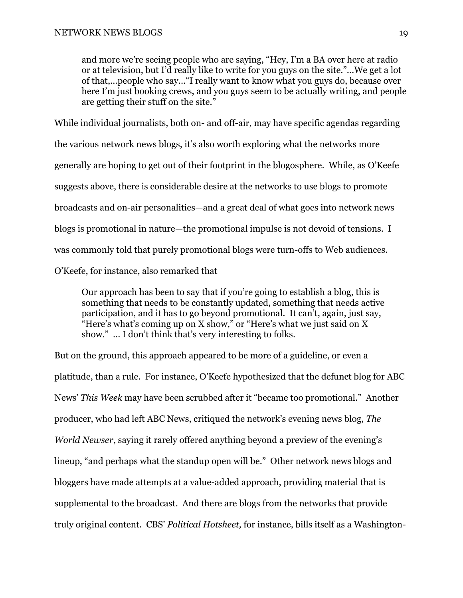and more we're seeing people who are saying, "Hey, I'm a BA over here at radio or at television, but I'd really like to write for you guys on the site."...We get a lot of that,...people who say..."I really want to know what you guys do, because over here I'm just booking crews, and you guys seem to be actually writing, and people are getting their stuff on the site."

While individual journalists, both on- and off-air, may have specific agendas regarding the various network news blogs, it's also worth exploring what the networks more generally are hoping to get out of their footprint in the blogosphere. While, as O'Keefe suggests above, there is considerable desire at the networks to use blogs to promote broadcasts and on-air personalities—and a great deal of what goes into network news blogs is promotional in nature—the promotional impulse is not devoid of tensions. I was commonly told that purely promotional blogs were turn-offs to Web audiences. O'Keefe, for instance, also remarked that

Our approach has been to say that if you're going to establish a blog, this is something that needs to be constantly updated, something that needs active participation, and it has to go beyond promotional. It can't, again, just say, "Here's what's coming up on X show," or "Here's what we just said on X show." ... I don't think that's very interesting to folks.

But on the ground, this approach appeared to be more of a guideline, or even a platitude, than a rule. For instance, O'Keefe hypothesized that the defunct blog for ABC News' *This Week* may have been scrubbed after it "became too promotional." Another producer, who had left ABC News, critiqued the network's evening news blog, *The World Newser*, saying it rarely offered anything beyond a preview of the evening's lineup, "and perhaps what the standup open will be." Other network news blogs and bloggers have made attempts at a value-added approach, providing material that is supplemental to the broadcast. And there are blogs from the networks that provide truly original content. CBS' *Political Hotsheet,* for instance, bills itself as a Washington-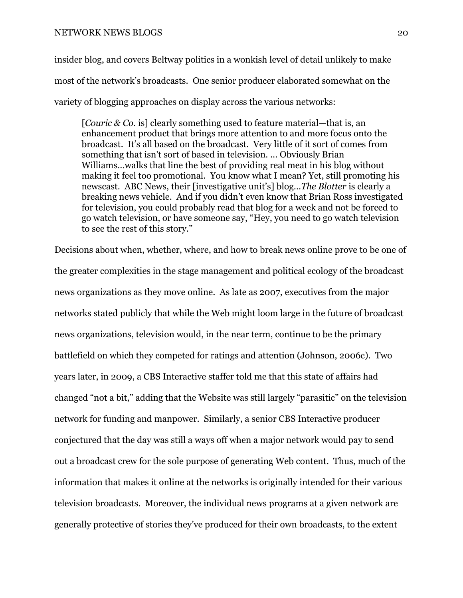insider blog, and covers Beltway politics in a wonkish level of detail unlikely to make most of the network's broadcasts. One senior producer elaborated somewhat on the variety of blogging approaches on display across the various networks:

[*Couric & Co.* is] clearly something used to feature material—that is, an enhancement product that brings more attention to and more focus onto the broadcast. It's all based on the broadcast. Very little of it sort of comes from something that isn't sort of based in television. ... Obviously Brian Williams...walks that line the best of providing real meat in his blog without making it feel too promotional. You know what I mean? Yet, still promoting his newscast. ABC News, their [investigative unit's] blog...*The Blotter* is clearly a breaking news vehicle. And if you didn't even know that Brian Ross investigated for television, you could probably read that blog for a week and not be forced to go watch television, or have someone say, "Hey, you need to go watch television to see the rest of this story."

Decisions about when, whether, where, and how to break news online prove to be one of the greater complexities in the stage management and political ecology of the broadcast news organizations as they move online. As late as 2007, executives from the major networks stated publicly that while the Web might loom large in the future of broadcast news organizations, television would, in the near term, continue to be the primary battlefield on which they competed for ratings and attention (Johnson, 2006c). Two years later, in 2009, a CBS Interactive staffer told me that this state of affairs had changed "not a bit," adding that the Website was still largely "parasitic" on the television network for funding and manpower. Similarly, a senior CBS Interactive producer conjectured that the day was still a ways off when a major network would pay to send out a broadcast crew for the sole purpose of generating Web content. Thus, much of the information that makes it online at the networks is originally intended for their various television broadcasts. Moreover, the individual news programs at a given network are generally protective of stories they've produced for their own broadcasts, to the extent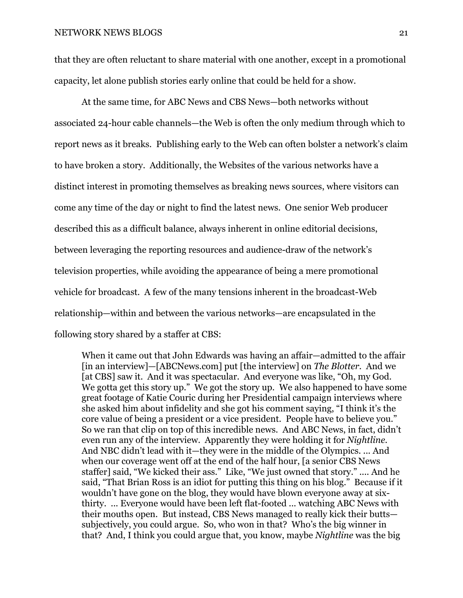that they are often reluctant to share material with one another, except in a promotional capacity, let alone publish stories early online that could be held for a show.

 At the same time, for ABC News and CBS News—both networks without associated 24-hour cable channels—the Web is often the only medium through which to report news as it breaks. Publishing early to the Web can often bolster a network's claim to have broken a story. Additionally, the Websites of the various networks have a distinct interest in promoting themselves as breaking news sources, where visitors can come any time of the day or night to find the latest news. One senior Web producer described this as a difficult balance, always inherent in online editorial decisions, between leveraging the reporting resources and audience-draw of the network's television properties, while avoiding the appearance of being a mere promotional vehicle for broadcast. A few of the many tensions inherent in the broadcast-Web relationship—within and between the various networks—are encapsulated in the following story shared by a staffer at CBS:

When it came out that John Edwards was having an affair—admitted to the affair [in an interview]—[ABCNews.com] put [the interview] on *The Blotter*. And we [at CBS] saw it. And it was spectacular. And everyone was like, "Oh, my God. We gotta get this story up." We got the story up. We also happened to have some great footage of Katie Couric during her Presidential campaign interviews where she asked him about infidelity and she got his comment saying, "I think it's the core value of being a president or a vice president. People have to believe you." So we ran that clip on top of this incredible news. And ABC News, in fact, didn't even run any of the interview. Apparently they were holding it for *Nightline*. And NBC didn't lead with it—they were in the middle of the Olympics. ... And when our coverage went off at the end of the half hour, [a senior CBS News staffer] said, "We kicked their ass." Like, "We just owned that story." .... And he said, "That Brian Ross is an idiot for putting this thing on his blog." Because if it wouldn't have gone on the blog, they would have blown everyone away at sixthirty. ... Everyone would have been left flat-footed ... watching ABC News with their mouths open. But instead, CBS News managed to really kick their butts subjectively, you could argue. So, who won in that? Who's the big winner in that? And, I think you could argue that, you know, maybe *Nightline* was the big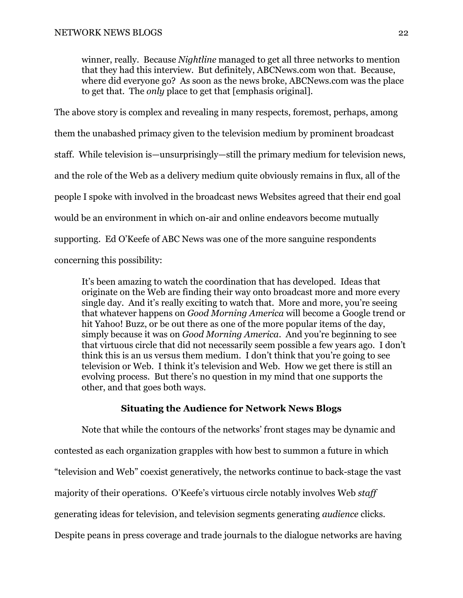winner, really. Because *Nightline* managed to get all three networks to mention that they had this interview. But definitely, ABCNews.com won that. Because, where did everyone go? As soon as the news broke, ABCNews.com was the place to get that. The *only* place to get that [emphasis original].

The above story is complex and revealing in many respects, foremost, perhaps, among them the unabashed primacy given to the television medium by prominent broadcast staff. While television is—unsurprisingly—still the primary medium for television news, and the role of the Web as a delivery medium quite obviously remains in flux, all of the people I spoke with involved in the broadcast news Websites agreed that their end goal would be an environment in which on-air and online endeavors become mutually supporting. Ed O'Keefe of ABC News was one of the more sanguine respondents concerning this possibility:

It's been amazing to watch the coordination that has developed. Ideas that originate on the Web are finding their way onto broadcast more and more every single day. And it's really exciting to watch that. More and more, you're seeing that whatever happens on *Good Morning America* will become a Google trend or hit Yahoo! Buzz, or be out there as one of the more popular items of the day, simply because it was on *Good Morning America*. And you're beginning to see that virtuous circle that did not necessarily seem possible a few years ago. I don't think this is an us versus them medium. I don't think that you're going to see television or Web. I think it's television and Web. How we get there is still an evolving process. But there's no question in my mind that one supports the other, and that goes both ways.

# **Situating the Audience for Network News Blogs**

 Note that while the contours of the networks' front stages may be dynamic and contested as each organization grapples with how best to summon a future in which "television and Web" coexist generatively, the networks continue to back-stage the vast majority of their operations. O'Keefe's virtuous circle notably involves Web *staff*  generating ideas for television, and television segments generating *audience* clicks. Despite peans in press coverage and trade journals to the dialogue networks are having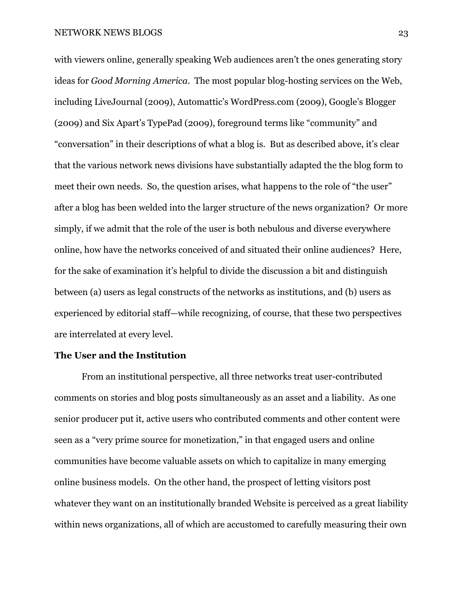with viewers online, generally speaking Web audiences aren't the ones generating story ideas for *Good Morning America*. The most popular blog-hosting services on the Web, including LiveJournal (2009), Automattic's WordPress.com (2009), Google's Blogger (2009) and Six Apart's TypePad (2009), foreground terms like "community" and "conversation" in their descriptions of what a blog is. But as described above, it's clear that the various network news divisions have substantially adapted the the blog form to meet their own needs. So, the question arises, what happens to the role of "the user" after a blog has been welded into the larger structure of the news organization? Or more simply, if we admit that the role of the user is both nebulous and diverse everywhere online, how have the networks conceived of and situated their online audiences? Here, for the sake of examination it's helpful to divide the discussion a bit and distinguish between (a) users as legal constructs of the networks as institutions, and (b) users as experienced by editorial staff—while recognizing, of course, that these two perspectives are interrelated at every level.

# **The User and the Institution**

 From an institutional perspective, all three networks treat user-contributed comments on stories and blog posts simultaneously as an asset and a liability. As one senior producer put it, active users who contributed comments and other content were seen as a "very prime source for monetization," in that engaged users and online communities have become valuable assets on which to capitalize in many emerging online business models. On the other hand, the prospect of letting visitors post whatever they want on an institutionally branded Website is perceived as a great liability within news organizations, all of which are accustomed to carefully measuring their own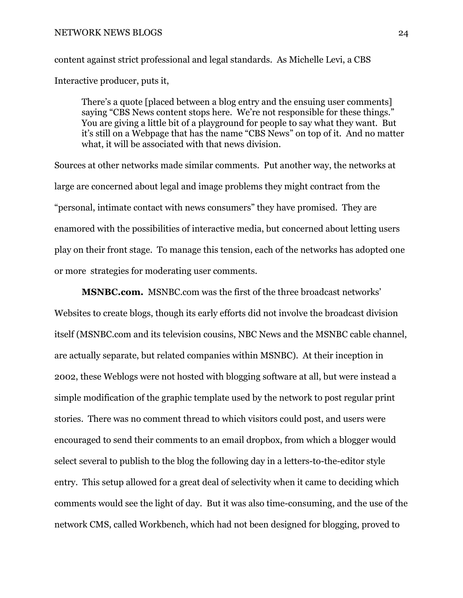content against strict professional and legal standards. As Michelle Levi, a CBS Interactive producer, puts it,

There's a quote [placed between a blog entry and the ensuing user comments] saying "CBS News content stops here. We're not responsible for these things." You are giving a little bit of a playground for people to say what they want. But it's still on a Webpage that has the name "CBS News" on top of it. And no matter what, it will be associated with that news division.

Sources at other networks made similar comments. Put another way, the networks at large are concerned about legal and image problems they might contract from the "personal, intimate contact with news consumers" they have promised. They are enamored with the possibilities of interactive media, but concerned about letting users play on their front stage. To manage this tension, each of the networks has adopted one or more strategies for moderating user comments.

**MSNBC.com.**MSNBC.com was the first of the three broadcast networks' Websites to create blogs, though its early efforts did not involve the broadcast division itself (MSNBC.com and its television cousins, NBC News and the MSNBC cable channel, are actually separate, but related companies within MSNBC). At their inception in 2002, these Weblogs were not hosted with blogging software at all, but were instead a simple modification of the graphic template used by the network to post regular print stories. There was no comment thread to which visitors could post, and users were encouraged to send their comments to an email dropbox, from which a blogger would select several to publish to the blog the following day in a letters-to-the-editor style entry. This setup allowed for a great deal of selectivity when it came to deciding which comments would see the light of day. But it was also time-consuming, and the use of the network CMS, called Workbench, which had not been designed for blogging, proved to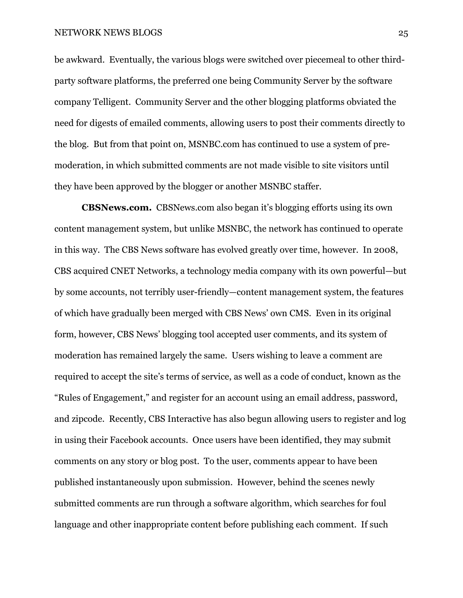be awkward. Eventually, the various blogs were switched over piecemeal to other thirdparty software platforms, the preferred one being Community Server by the software company Telligent. Community Server and the other blogging platforms obviated the need for digests of emailed comments, allowing users to post their comments directly to the blog. But from that point on, MSNBC.com has continued to use a system of premoderation, in which submitted comments are not made visible to site visitors until they have been approved by the blogger or another MSNBC staffer.

**CBSNews.com.** CBSNews.com also began it's blogging efforts using its own content management system, but unlike MSNBC, the network has continued to operate in this way. The CBS News software has evolved greatly over time, however. In 2008, CBS acquired CNET Networks, a technology media company with its own powerful—but by some accounts, not terribly user-friendly—content management system, the features of which have gradually been merged with CBS News' own CMS. Even in its original form, however, CBS News' blogging tool accepted user comments, and its system of moderation has remained largely the same. Users wishing to leave a comment are required to accept the site's terms of service, as well as a code of conduct, known as the "Rules of Engagement," and register for an account using an email address, password, and zipcode. Recently, CBS Interactive has also begun allowing users to register and log in using their Facebook accounts. Once users have been identified, they may submit comments on any story or blog post. To the user, comments appear to have been published instantaneously upon submission. However, behind the scenes newly submitted comments are run through a software algorithm, which searches for foul language and other inappropriate content before publishing each comment. If such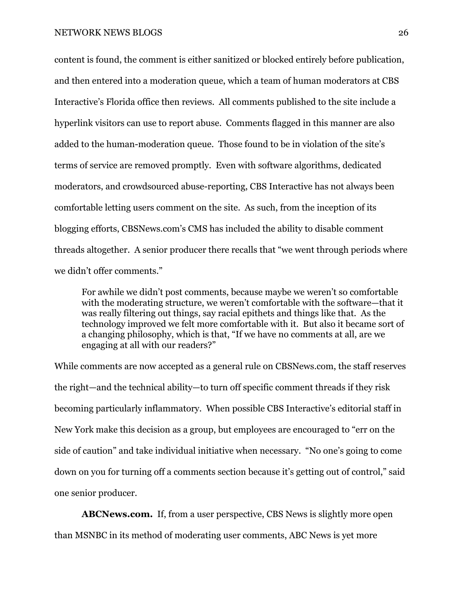content is found, the comment is either sanitized or blocked entirely before publication, and then entered into a moderation queue, which a team of human moderators at CBS Interactive's Florida office then reviews. All comments published to the site include a hyperlink visitors can use to report abuse. Comments flagged in this manner are also added to the human-moderation queue. Those found to be in violation of the site's terms of service are removed promptly. Even with software algorithms, dedicated moderators, and crowdsourced abuse-reporting, CBS Interactive has not always been comfortable letting users comment on the site. As such, from the inception of its blogging efforts, CBSNews.com's CMS has included the ability to disable comment threads altogether. A senior producer there recalls that "we went through periods where we didn't offer comments."

For awhile we didn't post comments, because maybe we weren't so comfortable with the moderating structure, we weren't comfortable with the software—that it was really filtering out things, say racial epithets and things like that. As the technology improved we felt more comfortable with it. But also it became sort of a changing philosophy, which is that, "If we have no comments at all, are we engaging at all with our readers?"

While comments are now accepted as a general rule on CBSNews.com, the staff reserves the right—and the technical ability—to turn off specific comment threads if they risk becoming particularly inflammatory. When possible CBS Interactive's editorial staff in New York make this decision as a group, but employees are encouraged to "err on the side of caution" and take individual initiative when necessary. "No one's going to come down on you for turning off a comments section because it's getting out of control," said one senior producer.

**ABCNews.com.** If, from a user perspective, CBS News is slightly more open than MSNBC in its method of moderating user comments, ABC News is yet more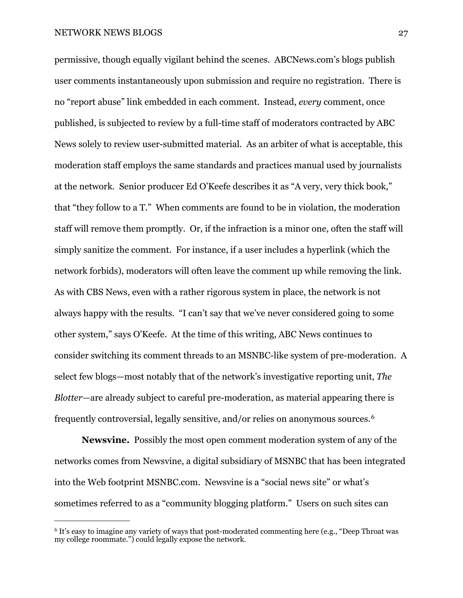permissive, though equally vigilant behind the scenes. ABCNews.com's blogs publish user comments instantaneously upon submission and require no registration. There is no "report abuse" link embedded in each comment. Instead, *every* comment, once published, is subjected to review by a full-time staff of moderators contracted by ABC News solely to review user-submitted material. As an arbiter of what is acceptable, this moderation staff employs the same standards and practices manual used by journalists at the network. Senior producer Ed O'Keefe describes it as "A very, very thick book," that "they follow to a T." When comments are found to be in violation, the moderation staff will remove them promptly. Or, if the infraction is a minor one, often the staff will simply sanitize the comment. For instance, if a user includes a hyperlink (which the network forbids), moderators will often leave the comment up while removing the link. As with CBS News, even with a rather rigorous system in place, the network is not always happy with the results. "I can't say that we've never considered going to some other system," says O'Keefe. At the time of this writing, ABC News continues to consider switching its comment threads to an MSNBC-like system of pre-moderation. A select few blogs—most notably that of the network's investigative reporting unit, *The Blotter—*are already subject to careful pre-moderation, as material appearing there is frequently controversial, legally sensitive, and/or relies on anonymous sources.[6](#page-26-0)

**Newsvine.**Possibly the most open comment moderation system of any of the networks comes from Newsvine, a digital subsidiary of MSNBC that has been integrated into the Web footprint MSNBC.com. Newsvine is a "social news site" or what's sometimes referred to as a "community blogging platform." Users on such sites can

<span id="page-26-0"></span><sup>6</sup> It's easy to imagine any variety of ways that post-moderated commenting here (e.g., "Deep Throat was my college roommate.") could legally expose the network.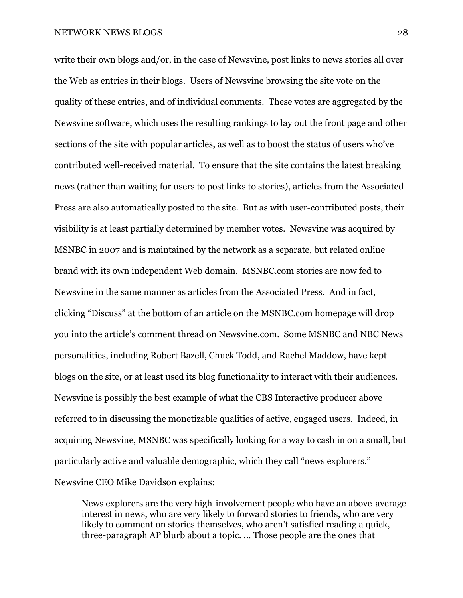write their own blogs and/or, in the case of Newsvine, post links to news stories all over the Web as entries in their blogs. Users of Newsvine browsing the site vote on the quality of these entries, and of individual comments. These votes are aggregated by the Newsvine software, which uses the resulting rankings to lay out the front page and other sections of the site with popular articles, as well as to boost the status of users who've contributed well-received material. To ensure that the site contains the latest breaking news (rather than waiting for users to post links to stories), articles from the Associated Press are also automatically posted to the site. But as with user-contributed posts, their visibility is at least partially determined by member votes. Newsvine was acquired by MSNBC in 2007 and is maintained by the network as a separate, but related online brand with its own independent Web domain. MSNBC.com stories are now fed to Newsvine in the same manner as articles from the Associated Press. And in fact, clicking "Discuss" at the bottom of an article on the MSNBC.com homepage will drop you into the article's comment thread on Newsvine.com. Some MSNBC and NBC News personalities, including Robert Bazell, Chuck Todd, and Rachel Maddow, have kept blogs on the site, or at least used its blog functionality to interact with their audiences. Newsvine is possibly the best example of what the CBS Interactive producer above referred to in discussing the monetizable qualities of active, engaged users. Indeed, in acquiring Newsvine, MSNBC was specifically looking for a way to cash in on a small, but particularly active and valuable demographic, which they call "news explorers." Newsvine CEO Mike Davidson explains:

News explorers are the very high-involvement people who have an above-average interest in news, who are very likely to forward stories to friends, who are very likely to comment on stories themselves, who aren't satisfied reading a quick, three-paragraph AP blurb about a topic. ... Those people are the ones that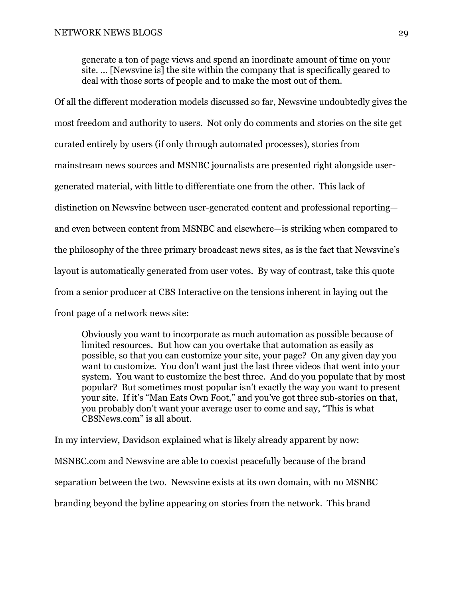generate a ton of page views and spend an inordinate amount of time on your site. ... [Newsvine is] the site within the company that is specifically geared to deal with those sorts of people and to make the most out of them.

Of all the different moderation models discussed so far, Newsvine undoubtedly gives the most freedom and authority to users. Not only do comments and stories on the site get curated entirely by users (if only through automated processes), stories from mainstream news sources and MSNBC journalists are presented right alongside usergenerated material, with little to differentiate one from the other. This lack of distinction on Newsvine between user-generated content and professional reporting and even between content from MSNBC and elsewhere—is striking when compared to the philosophy of the three primary broadcast news sites, as is the fact that Newsvine's layout is automatically generated from user votes. By way of contrast, take this quote from a senior producer at CBS Interactive on the tensions inherent in laying out the front page of a network news site:

Obviously you want to incorporate as much automation as possible because of limited resources. But how can you overtake that automation as easily as possible, so that you can customize your site, your page? On any given day you want to customize. You don't want just the last three videos that went into your system. You want to customize the best three. And do you populate that by most popular? But sometimes most popular isn't exactly the way you want to present your site. If it's "Man Eats Own Foot," and you've got three sub-stories on that, you probably don't want your average user to come and say, "This is what CBSNews.com" is all about.

In my interview, Davidson explained what is likely already apparent by now: MSNBC.com and Newsvine are able to coexist peacefully because of the brand separation between the two. Newsvine exists at its own domain, with no MSNBC branding beyond the byline appearing on stories from the network. This brand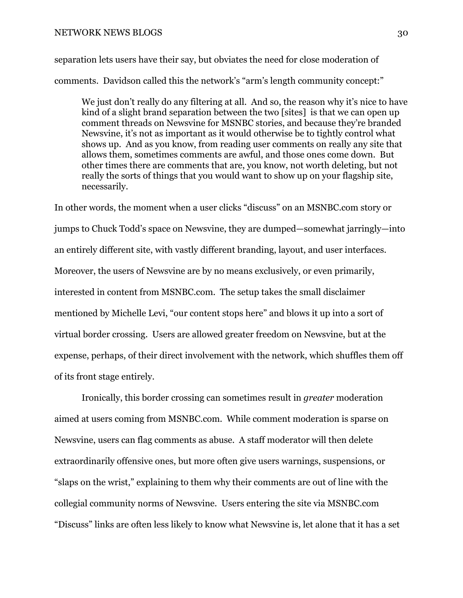separation lets users have their say, but obviates the need for close moderation of comments. Davidson called this the network's "arm's length community concept:"

We just don't really do any filtering at all. And so, the reason why it's nice to have kind of a slight brand separation between the two [sites] is that we can open up comment threads on Newsvine for MSNBC stories, and because they're branded Newsvine, it's not as important as it would otherwise be to tightly control what shows up. And as you know, from reading user comments on really any site that allows them, sometimes comments are awful, and those ones come down. But other times there are comments that are, you know, not worth deleting, but not really the sorts of things that you would want to show up on your flagship site, necessarily.

In other words, the moment when a user clicks "discuss" on an MSNBC.com story or jumps to Chuck Todd's space on Newsvine, they are dumped—somewhat jarringly—into an entirely different site, with vastly different branding, layout, and user interfaces. Moreover, the users of Newsvine are by no means exclusively, or even primarily, interested in content from MSNBC.com. The setup takes the small disclaimer mentioned by Michelle Levi, "our content stops here" and blows it up into a sort of virtual border crossing. Users are allowed greater freedom on Newsvine, but at the expense, perhaps, of their direct involvement with the network, which shuffles them off of its front stage entirely.

 Ironically, this border crossing can sometimes result in *greater* moderation aimed at users coming from MSNBC.com. While comment moderation is sparse on Newsvine, users can flag comments as abuse. A staff moderator will then delete extraordinarily offensive ones, but more often give users warnings, suspensions, or "slaps on the wrist," explaining to them why their comments are out of line with the collegial community norms of Newsvine. Users entering the site via MSNBC.com "Discuss" links are often less likely to know what Newsvine is, let alone that it has a set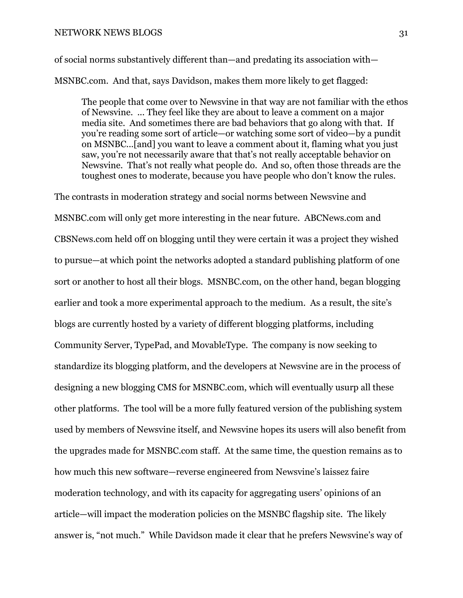of social norms substantively different than—and predating its association with— MSNBC.com. And that, says Davidson, makes them more likely to get flagged:

The people that come over to Newsvine in that way are not familiar with the ethos of Newsvine. ... They feel like they are about to leave a comment on a major media site. And sometimes there are bad behaviors that go along with that. If you're reading some sort of article—or watching some sort of video—by a pundit on MSNBC...[and] you want to leave a comment about it, flaming what you just saw, you're not necessarily aware that that's not really acceptable behavior on Newsvine. That's not really what people do. And so, often those threads are the toughest ones to moderate, because you have people who don't know the rules.

The contrasts in moderation strategy and social norms between Newsvine and MSNBC.com will only get more interesting in the near future. ABCNews.com and CBSNews.com held off on blogging until they were certain it was a project they wished to pursue—at which point the networks adopted a standard publishing platform of one sort or another to host all their blogs. MSNBC.com, on the other hand, began blogging earlier and took a more experimental approach to the medium. As a result, the site's blogs are currently hosted by a variety of different blogging platforms, including Community Server, TypePad, and MovableType. The company is now seeking to standardize its blogging platform, and the developers at Newsvine are in the process of designing a new blogging CMS for MSNBC.com, which will eventually usurp all these other platforms. The tool will be a more fully featured version of the publishing system used by members of Newsvine itself, and Newsvine hopes its users will also benefit from the upgrades made for MSNBC.com staff. At the same time, the question remains as to how much this new software—reverse engineered from Newsvine's laissez faire moderation technology, and with its capacity for aggregating users' opinions of an article—will impact the moderation policies on the MSNBC flagship site. The likely answer is, "not much." While Davidson made it clear that he prefers Newsvine's way of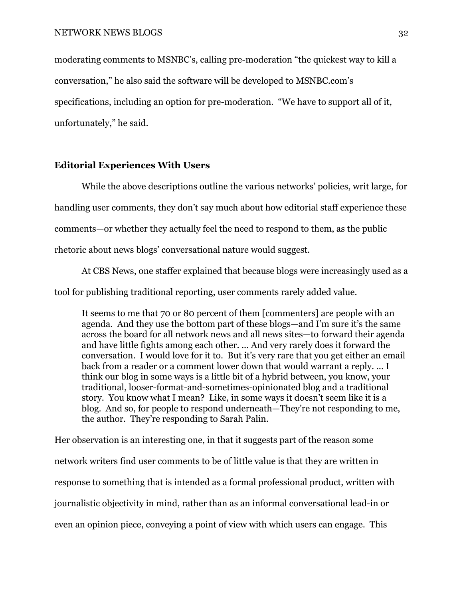moderating comments to MSNBC's, calling pre-moderation "the quickest way to kill a conversation," he also said the software will be developed to MSNBC.com's specifications, including an option for pre-moderation. "We have to support all of it, unfortunately," he said.

# **Editorial Experiences With Users**

While the above descriptions outline the various networks' policies, writ large, for handling user comments, they don't say much about how editorial staff experience these comments—or whether they actually feel the need to respond to them, as the public rhetoric about news blogs' conversational nature would suggest.

 At CBS News, one staffer explained that because blogs were increasingly used as a tool for publishing traditional reporting, user comments rarely added value.

It seems to me that 70 or 80 percent of them [commenters] are people with an agenda. And they use the bottom part of these blogs—and I'm sure it's the same across the board for all network news and all news sites—to forward their agenda and have little fights among each other. ... And very rarely does it forward the conversation. I would love for it to. But it's very rare that you get either an email back from a reader or a comment lower down that would warrant a reply. ... I think our blog in some ways is a little bit of a hybrid between, you know, your traditional, looser-format-and-sometimes-opinionated blog and a traditional story. You know what I mean? Like, in some ways it doesn't seem like it is a blog. And so, for people to respond underneath—They're not responding to me, the author. They're responding to Sarah Palin.

Her observation is an interesting one, in that it suggests part of the reason some network writers find user comments to be of little value is that they are written in response to something that is intended as a formal professional product, written with journalistic objectivity in mind, rather than as an informal conversational lead-in or even an opinion piece, conveying a point of view with which users can engage. This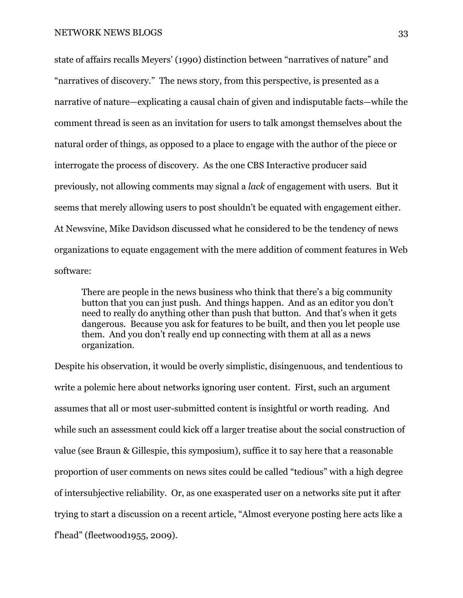state of affairs recalls Meyers' (1990) distinction between "narratives of nature" and "narratives of discovery." The news story, from this perspective, is presented as a narrative of nature—explicating a causal chain of given and indisputable facts—while the comment thread is seen as an invitation for users to talk amongst themselves about the natural order of things, as opposed to a place to engage with the author of the piece or interrogate the process of discovery. As the one CBS Interactive producer said previously, not allowing comments may signal a *lack* of engagement with users. But it seems that merely allowing users to post shouldn't be equated with engagement either. At Newsvine, Mike Davidson discussed what he considered to be the tendency of news organizations to equate engagement with the mere addition of comment features in Web software:

There are people in the news business who think that there's a big community button that you can just push. And things happen. And as an editor you don't need to really do anything other than push that button. And that's when it gets dangerous. Because you ask for features to be built, and then you let people use them. And you don't really end up connecting with them at all as a news organization.

Despite his observation, it would be overly simplistic, disingenuous, and tendentious to write a polemic here about networks ignoring user content. First, such an argument assumes that all or most user-submitted content is insightful or worth reading. And while such an assessment could kick off a larger treatise about the social construction of value (see Braun & Gillespie, this symposium), suffice it to say here that a reasonable proportion of user comments on news sites could be called "tedious" with a high degree of intersubjective reliability. Or, as one exasperated user on a networks site put it after trying to start a discussion on a recent article, "Almost everyone posting here acts like a f'head" (fleetwood1955, 2009).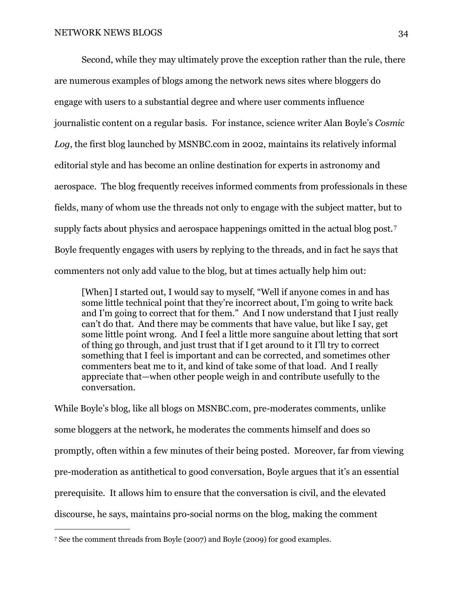Second, while they may ultimately prove the exception rather than the rule, there are numerous examples of blogs among the network news sites where bloggers do engage with users to a substantial degree and where user comments influence journalistic content on a regular basis. For instance, science writer Alan Boyle's *Cosmic Log*, the first blog launched by MSNBC.com in 2002, maintains its relatively informal editorial style and has become an online destination for experts in astronomy and aerospace. The blog frequently receives informed comments from professionals in these fields, many of whom use the threads not only to engage with the subject matter, but to supply facts about physics and aerospace happenings omitted in the actual blog post.<sup>[7](#page-33-0)</sup> Boyle frequently engages with users by replying to the threads, and in fact he says that commenters not only add value to the blog, but at times actually help him out:

[When] I started out, I would say to myself, "Well if anyone comes in and has some little technical point that they're incorrect about, I'm going to write back and I'm going to correct that for them." And I now understand that I just really can't do that. And there may be comments that have value, but like I say, get some little point wrong. And I feel a little more sanguine about letting that sort of thing go through, and just trust that if I get around to it I'll try to correct something that I feel is important and can be corrected, and sometimes other commenters beat me to it, and kind of take some of that load. And I really appreciate that—when other people weigh in and contribute usefully to the conversation.

While Boyle's blog, like all blogs on MSNBC.com, pre-moderates comments, unlike some bloggers at the network, he moderates the comments himself and does so promptly, often within a few minutes of their being posted. Moreover, far from viewing pre-moderation as antithetical to good conversation, Boyle argues that it's an essential prerequisite. It allows him to ensure that the conversation is civil, and the elevated discourse, he says, maintains pro-social norms on the blog, making the comment

<span id="page-33-0"></span><sup>7</sup> See the comment threads from Boyle (2007) and Boyle (2009) for good examples.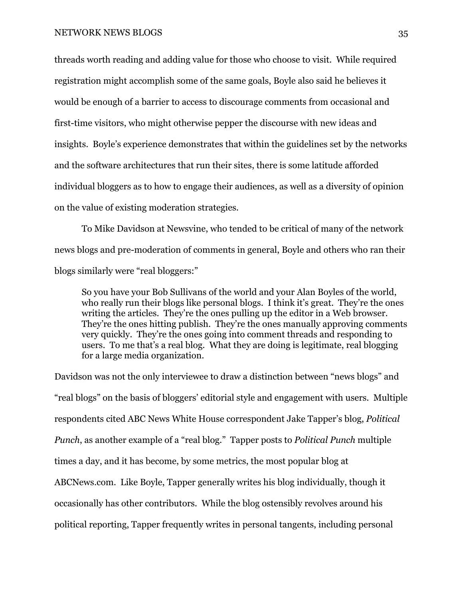threads worth reading and adding value for those who choose to visit. While required registration might accomplish some of the same goals, Boyle also said he believes it would be enough of a barrier to access to discourage comments from occasional and first-time visitors, who might otherwise pepper the discourse with new ideas and insights. Boyle's experience demonstrates that within the guidelines set by the networks and the software architectures that run their sites, there is some latitude afforded individual bloggers as to how to engage their audiences, as well as a diversity of opinion on the value of existing moderation strategies.

 To Mike Davidson at Newsvine, who tended to be critical of many of the network news blogs and pre-moderation of comments in general, Boyle and others who ran their blogs similarly were "real bloggers:"

So you have your Bob Sullivans of the world and your Alan Boyles of the world, who really run their blogs like personal blogs. I think it's great. They're the ones writing the articles. They're the ones pulling up the editor in a Web browser. They're the ones hitting publish. They're the ones manually approving comments very quickly. They're the ones going into comment threads and responding to users. To me that's a real blog. What they are doing is legitimate, real blogging for a large media organization.

Davidson was not the only interviewee to draw a distinction between "news blogs" and "real blogs" on the basis of bloggers' editorial style and engagement with users. Multiple respondents cited ABC News White House correspondent Jake Tapper's blog, *Political Punch*, as another example of a "real blog." Tapper posts to *Political Punch* multiple times a day, and it has become, by some metrics, the most popular blog at ABCNews.com. Like Boyle, Tapper generally writes his blog individually, though it occasionally has other contributors. While the blog ostensibly revolves around his political reporting, Tapper frequently writes in personal tangents, including personal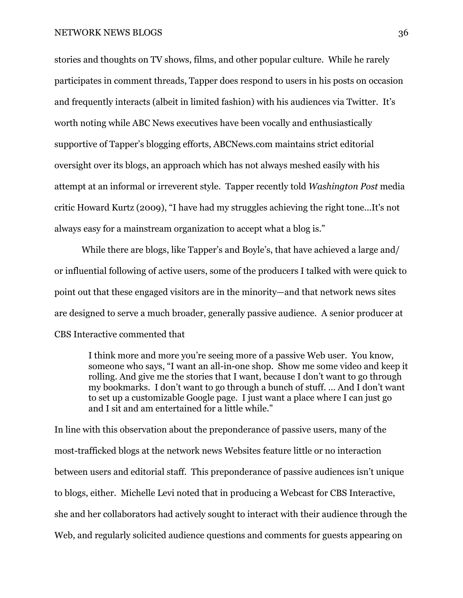stories and thoughts on TV shows, films, and other popular culture. While he rarely participates in comment threads, Tapper does respond to users in his posts on occasion and frequently interacts (albeit in limited fashion) with his audiences via Twitter. It's worth noting while ABC News executives have been vocally and enthusiastically supportive of Tapper's blogging efforts, ABCNews.com maintains strict editorial oversight over its blogs, an approach which has not always meshed easily with his attempt at an informal or irreverent style. Tapper recently told *Washington Post* media critic Howard Kurtz (2009), "I have had my struggles achieving the right tone...It's not always easy for a mainstream organization to accept what a blog is."

 While there are blogs, like Tapper's and Boyle's, that have achieved a large and/ or influential following of active users, some of the producers I talked with were quick to point out that these engaged visitors are in the minority—and that network news sites are designed to serve a much broader, generally passive audience. A senior producer at CBS Interactive commented that

I think more and more you're seeing more of a passive Web user. You know, someone who says, "I want an all-in-one shop. Show me some video and keep it rolling. And give me the stories that I want, because I don't want to go through my bookmarks. I don't want to go through a bunch of stuff. ... And I don't want to set up a customizable Google page. I just want a place where I can just go and I sit and am entertained for a little while."

In line with this observation about the preponderance of passive users, many of the most-trafficked blogs at the network news Websites feature little or no interaction between users and editorial staff. This preponderance of passive audiences isn't unique to blogs, either. Michelle Levi noted that in producing a Webcast for CBS Interactive, she and her collaborators had actively sought to interact with their audience through the Web, and regularly solicited audience questions and comments for guests appearing on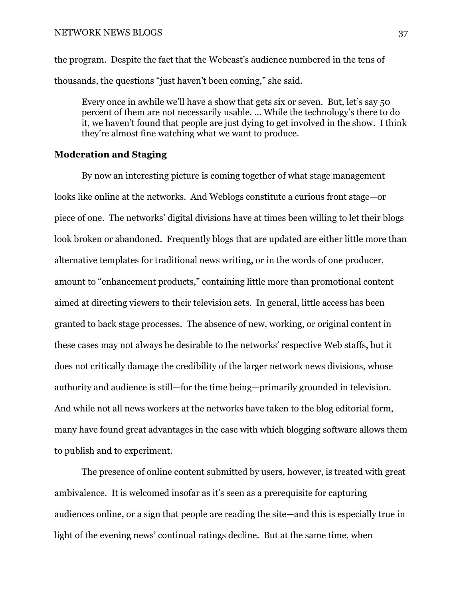the program. Despite the fact that the Webcast's audience numbered in the tens of thousands, the questions "just haven't been coming," she said.

Every once in awhile we'll have a show that gets six or seven. But, let's say 50 percent of them are not necessarily usable. ... While the technology's there to do it, we haven't found that people are just dying to get involved in the show. I think they're almost fine watching what we want to produce.

# **Moderation and Staging**

 By now an interesting picture is coming together of what stage management looks like online at the networks. And Weblogs constitute a curious front stage—or piece of one. The networks' digital divisions have at times been willing to let their blogs look broken or abandoned. Frequently blogs that are updated are either little more than alternative templates for traditional news writing, or in the words of one producer, amount to "enhancement products," containing little more than promotional content aimed at directing viewers to their television sets. In general, little access has been granted to back stage processes. The absence of new, working, or original content in these cases may not always be desirable to the networks' respective Web staffs, but it does not critically damage the credibility of the larger network news divisions, whose authority and audience is still—for the time being—primarily grounded in television. And while not all news workers at the networks have taken to the blog editorial form, many have found great advantages in the ease with which blogging software allows them to publish and to experiment.

 The presence of online content submitted by users, however, is treated with great ambivalence. It is welcomed insofar as it's seen as a prerequisite for capturing audiences online, or a sign that people are reading the site—and this is especially true in light of the evening news' continual ratings decline. But at the same time, when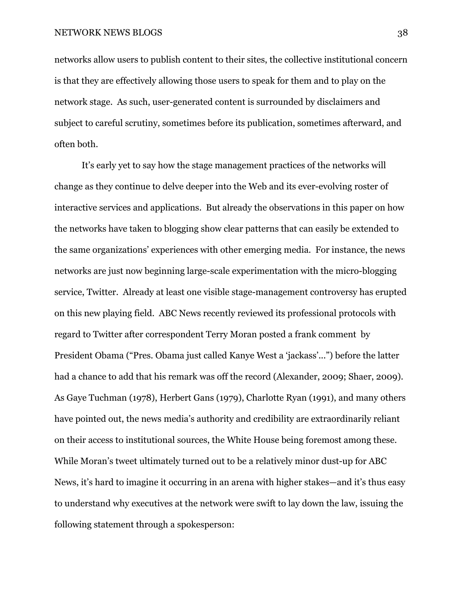networks allow users to publish content to their sites, the collective institutional concern is that they are effectively allowing those users to speak for them and to play on the network stage. As such, user-generated content is surrounded by disclaimers and subject to careful scrutiny, sometimes before its publication, sometimes afterward, and often both.

 It's early yet to say how the stage management practices of the networks will change as they continue to delve deeper into the Web and its ever-evolving roster of interactive services and applications. But already the observations in this paper on how the networks have taken to blogging show clear patterns that can easily be extended to the same organizations' experiences with other emerging media. For instance, the news networks are just now beginning large-scale experimentation with the micro-blogging service, Twitter. Already at least one visible stage-management controversy has erupted on this new playing field. ABC News recently reviewed its professional protocols with regard to Twitter after correspondent Terry Moran posted a frank comment by President Obama ("Pres. Obama just called Kanye West a 'jackass'...") before the latter had a chance to add that his remark was off the record (Alexander, 2009; Shaer, 2009). As Gaye Tuchman (1978), Herbert Gans (1979), Charlotte Ryan (1991), and many others have pointed out, the news media's authority and credibility are extraordinarily reliant on their access to institutional sources, the White House being foremost among these. While Moran's tweet ultimately turned out to be a relatively minor dust-up for ABC News, it's hard to imagine it occurring in an arena with higher stakes—and it's thus easy to understand why executives at the network were swift to lay down the law, issuing the following statement through a spokesperson: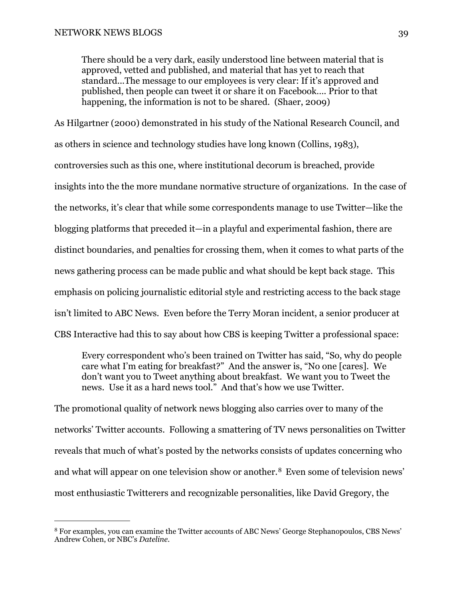There should be a very dark, easily understood line between material that is approved, vetted and published, and material that has yet to reach that standard...The message to our employees is very clear: If it's approved and published, then people can tweet it or share it on Facebook…. Prior to that happening, the information is not to be shared. (Shaer, 2009)

As Hilgartner (2000) demonstrated in his study of the National Research Council, and as others in science and technology studies have long known (Collins, 1983), controversies such as this one, where institutional decorum is breached, provide insights into the the more mundane normative structure of organizations. In the case of the networks, it's clear that while some correspondents manage to use Twitter—like the blogging platforms that preceded it—in a playful and experimental fashion, there are distinct boundaries, and penalties for crossing them, when it comes to what parts of the news gathering process can be made public and what should be kept back stage. This emphasis on policing journalistic editorial style and restricting access to the back stage isn't limited to ABC News. Even before the Terry Moran incident, a senior producer at CBS Interactive had this to say about how CBS is keeping Twitter a professional space:

Every correspondent who's been trained on Twitter has said, "So, why do people care what I'm eating for breakfast?" And the answer is, "No one [cares]. We don't want you to Tweet anything about breakfast. We want you to Tweet the news. Use it as a hard news tool." And that's how we use Twitter.

The promotional quality of network news blogging also carries over to many of the networks' Twitter accounts. Following a smattering of TV news personalities on Twitter reveals that much of what's posted by the networks consists of updates concerning who and what will appear on one television show or another.[8](#page-38-0) Even some of television news' most enthusiastic Twitterers and recognizable personalities, like David Gregory, the

<span id="page-38-0"></span><sup>8</sup> For examples, you can examine the Twitter accounts of ABC News' George Stephanopoulos, CBS News' Andrew Cohen, or NBC's *Dateline.*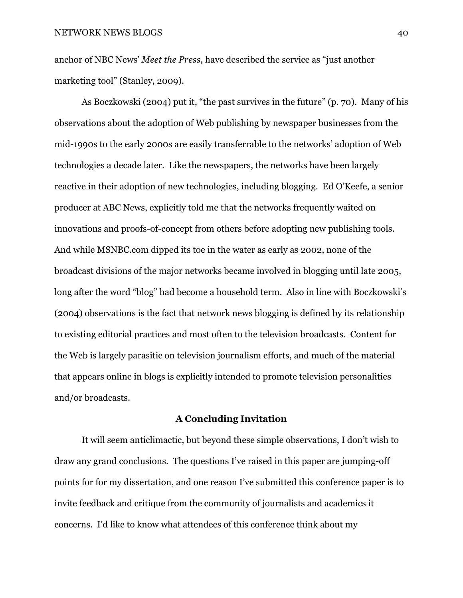anchor of NBC News' *Meet the Press*, have described the service as "just another marketing tool" (Stanley, 2009).

 As Boczkowski (2004) put it, "the past survives in the future" (p. 70). Many of his observations about the adoption of Web publishing by newspaper businesses from the mid-1990s to the early 2000s are easily transferrable to the networks' adoption of Web technologies a decade later. Like the newspapers, the networks have been largely reactive in their adoption of new technologies, including blogging. Ed O'Keefe, a senior producer at ABC News, explicitly told me that the networks frequently waited on innovations and proofs-of-concept from others before adopting new publishing tools. And while MSNBC.com dipped its toe in the water as early as 2002, none of the broadcast divisions of the major networks became involved in blogging until late 2005, long after the word "blog" had become a household term. Also in line with Boczkowski's (2004) observations is the fact that network news blogging is defined by its relationship to existing editorial practices and most often to the television broadcasts. Content for the Web is largely parasitic on television journalism efforts, and much of the material that appears online in blogs is explicitly intended to promote television personalities and/or broadcasts.

## **A Concluding Invitation**

 It will seem anticlimactic, but beyond these simple observations, I don't wish to draw any grand conclusions. The questions I've raised in this paper are jumping-off points for for my dissertation, and one reason I've submitted this conference paper is to invite feedback and critique from the community of journalists and academics it concerns. I'd like to know what attendees of this conference think about my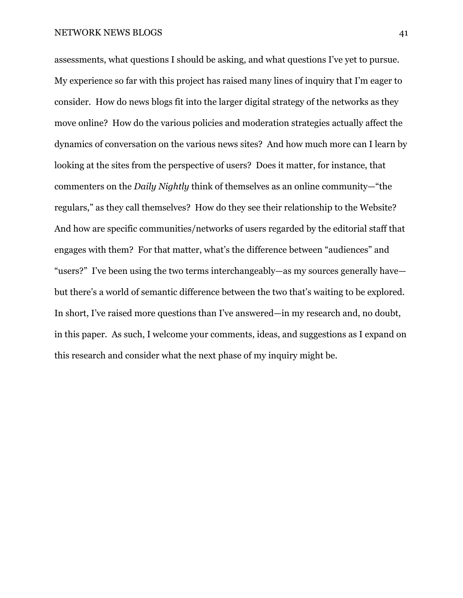assessments, what questions I should be asking, and what questions I've yet to pursue. My experience so far with this project has raised many lines of inquiry that I'm eager to consider. How do news blogs fit into the larger digital strategy of the networks as they move online? How do the various policies and moderation strategies actually affect the dynamics of conversation on the various news sites? And how much more can I learn by looking at the sites from the perspective of users? Does it matter, for instance, that commenters on the *Daily Nightly* think of themselves as an online community—"the regulars," as they call themselves? How do they see their relationship to the Website? And how are specific communities/networks of users regarded by the editorial staff that engages with them? For that matter, what's the difference between "audiences" and "users?" I've been using the two terms interchangeably—as my sources generally have but there's a world of semantic difference between the two that's waiting to be explored. In short, I've raised more questions than I've answered—in my research and, no doubt, in this paper. As such, I welcome your comments, ideas, and suggestions as I expand on this research and consider what the next phase of my inquiry might be.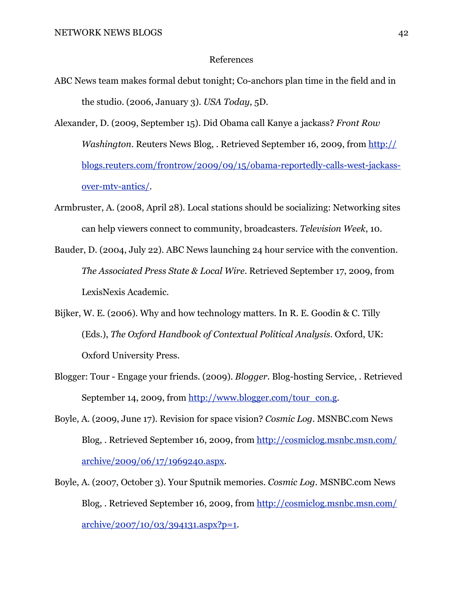## References

- ABC News team makes formal debut tonight; Co-anchors plan time in the field and in the studio. (2006, January 3). *USA Today*, 5D.
- Alexander, D. (2009, September 15). Did Obama call Kanye a jackass? *Front Row Washington*. Reuters News Blog, . Retrieved September 16, 2009, from [http://](http://blogs.reuters.com/frontrow/2009/09/15/obama-reportedly-calls-west-jackass-over-mtv-antics/) [blogs.reuters.com/frontrow/2009/09/15/obama-reportedly-calls-west-jackass](http://blogs.reuters.com/frontrow/2009/09/15/obama-reportedly-calls-west-jackass-over-mtv-antics/)[over-mtv-antics/.](http://blogs.reuters.com/frontrow/2009/09/15/obama-reportedly-calls-west-jackass-over-mtv-antics/)
- Armbruster, A. (2008, April 28). Local stations should be socializing: Networking sites can help viewers connect to community, broadcasters. *Television Week*, 10.
- Bauder, D. (2004, July 22). ABC News launching 24 hour service with the convention. *The Associated Press State & Local Wire*. Retrieved September 17, 2009, from LexisNexis Academic.
- Bijker, W. E. (2006). Why and how technology matters. In R. E. Goodin & C. Tilly (Eds.), *The Oxford Handbook of Contextual Political Analysis*. Oxford, UK: Oxford University Press.
- Blogger: Tour Engage your friends. (2009). *Blogger*. Blog-hosting Service, . Retrieved September 14, 2009, from [http://www.blogger.com/tour\\_con.g.](http://www.blogger.com/tour_con.g)
- Boyle, A. (2009, June 17). Revision for space vision? *Cosmic Log*. MSNBC.com News Blog, . Retrieved September 16, 2009, from [http://cosmiclog.msnbc.msn.com/](http://cosmiclog.msnbc.msn.com/archive/2009/06/17/1969240.aspx) [archive/2009/06/17/1969240.aspx](http://cosmiclog.msnbc.msn.com/archive/2009/06/17/1969240.aspx).
- Boyle, A. (2007, October 3). Your Sputnik memories. *Cosmic Log*. MSNBC.com News Blog, . Retrieved September 16, 2009, from [http://cosmiclog.msnbc.msn.com/](http://cosmiclog.msnbc.msn.com/archive/2007/10/03/394131.aspx?p=1) [archive/2007/10/03/394131.aspx?p=1](http://cosmiclog.msnbc.msn.com/archive/2007/10/03/394131.aspx?p=1).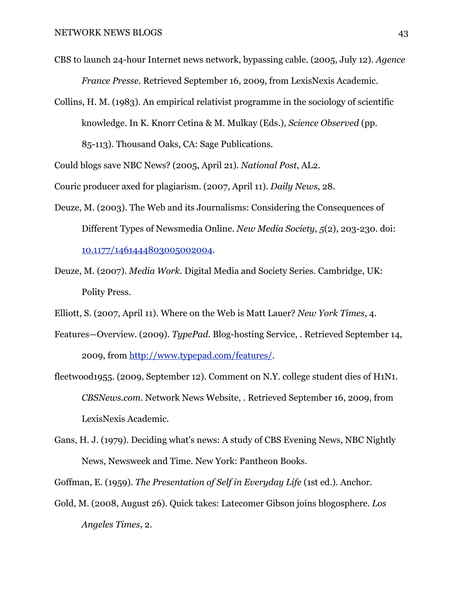- CBS to launch 24-hour Internet news network, bypassing cable. (2005, July 12). *Agence France Presse*. Retrieved September 16, 2009, from LexisNexis Academic.
- Collins, H. M. (1983). An empirical relativist programme in the sociology of scientific knowledge. In K. Knorr Cetina & M. Mulkay (Eds.), *Science Observed* (pp. 85-113). Thousand Oaks, CA: Sage Publications.

Could blogs save NBC News? (2005, April 21). *National Post*, AL2.

Couric producer axed for plagiarism. (2007, April 11). *Daily News*, 28.

- Deuze, M. (2003). The Web and its Journalisms: Considering the Consequences of Different Types of Newsmedia Online. *New Media Society*, *5*(2), 203-230. doi: [10.1177/1461444803005002004](http://dx.doi.org/10.1177/1461444803005002004).
- Deuze, M. (2007). *Media Work*. Digital Media and Society Series. Cambridge, UK: Polity Press.
- Elliott, S. (2007, April 11). Where on the Web is Matt Lauer? *New York Times*, 4.
- Features—Overview. (2009). *TypePad*. Blog-hosting Service, . Retrieved September 14, 2009, from<http://www.typepad.com/features/>.
- fleetwood1955. (2009, September 12). Comment on N.Y. college student dies of H1N1. *CBSNews.com*. Network News Website, . Retrieved September 16, 2009, from LexisNexis Academic.
- Gans, H. J. (1979). Deciding what's news: A study of CBS Evening News, NBC Nightly News, Newsweek and Time. New York: Pantheon Books.

Goffman, E. (1959). *The Presentation of Self in Everyday Life* (1st ed.). Anchor.

Gold, M. (2008, August 26). Quick takes: Latecomer Gibson joins blogosphere. *Los Angeles Times*, 2.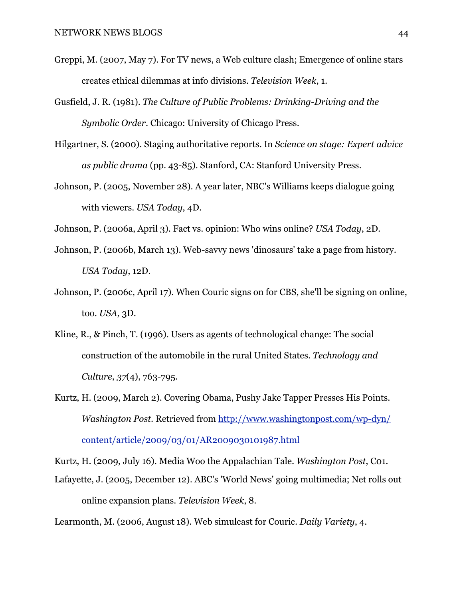- Greppi, M. (2007, May 7). For TV news, a Web culture clash; Emergence of online stars creates ethical dilemmas at info divisions. *Television Week*, 1.
- Gusfield, J. R. (1981). *The Culture of Public Problems: Drinking-Driving and the Symbolic Order*. Chicago: University of Chicago Press.
- Hilgartner, S. (2000). Staging authoritative reports. In *Science on stage: Expert advice as public drama* (pp. 43-85). Stanford, CA: Stanford University Press.
- Johnson, P. (2005, November 28). A year later, NBC's Williams keeps dialogue going with viewers. *USA Today*, 4D.
- Johnson, P. (2006a, April 3). Fact vs. opinion: Who wins online? *USA Today*, 2D.
- Johnson, P. (2006b, March 13). Web-savvy news 'dinosaurs' take a page from history. *USA Today*, 12D.
- Johnson, P. (2006c, April 17). When Couric signs on for CBS, she'll be signing on online, too. *USA*, 3D.
- Kline, R., & Pinch, T. (1996). Users as agents of technological change: The social construction of the automobile in the rural United States. *Technology and Culture*, *37*(4), 763-795.
- Kurtz, H. (2009, March 2). Covering Obama, Pushy Jake Tapper Presses His Points. *Washington Post*. Retrieved from [http://www.washingtonpost.com/wp-dyn/](http://www.washingtonpost.com/wp-dyn/content/article/2009/03/01/AR2009030101987.html) [content/article/2009/03/01/AR2009030101987.html](http://www.washingtonpost.com/wp-dyn/content/article/2009/03/01/AR2009030101987.html)

Kurtz, H. (2009, July 16). Media Woo the Appalachian Tale. *Washington Post*, C01.

Lafayette, J. (2005, December 12). ABC's 'World News' going multimedia; Net rolls out online expansion plans. *Television Week*, 8.

Learmonth, M. (2006, August 18). Web simulcast for Couric. *Daily Variety*, 4.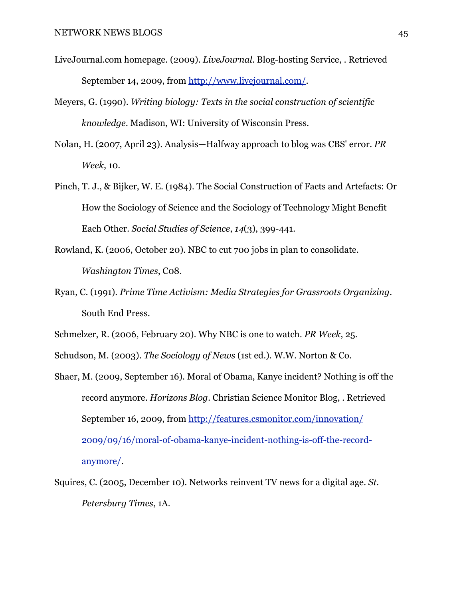- LiveJournal.com homepage. (2009). *LiveJournal*. Blog-hosting Service, . Retrieved September 14, 2009, from [http://www.livejournal.com/.](http://www.livejournal.com/)
- Meyers, G. (1990). *Writing biology: Texts in the social construction of scientific knowledge*. Madison, WI: University of Wisconsin Press.
- Nolan, H. (2007, April 23). Analysis—Halfway approach to blog was CBS' error. *PR Week*, 10.
- Pinch, T. J., & Bijker, W. E. (1984). The Social Construction of Facts and Artefacts: Or How the Sociology of Science and the Sociology of Technology Might Benefit Each Other. *Social Studies of Science*, *14*(3), 399-441.
- Rowland, K. (2006, October 20). NBC to cut 700 jobs in plan to consolidate. *Washington Times*, C08.
- Ryan, C. (1991). *Prime Time Activism: Media Strategies for Grassroots Organizing*. South End Press.
- Schmelzer, R. (2006, February 20). Why NBC is one to watch. *PR Week*, 25.
- Schudson, M. (2003). *The Sociology of News* (1st ed.). W.W. Norton & Co.
- Shaer, M. (2009, September 16). Moral of Obama, Kanye incident? Nothing is off the record anymore. *Horizons Blog*. Christian Science Monitor Blog, . Retrieved September 16, 2009, from [http://features.csmonitor.com/innovation/](http://features.csmonitor.com/innovation/2009/09/16/moral-of-obama-kanye-incident-nothing-is-off-the-record-anymore/) [2009/09/16/moral-of-obama-kanye-incident-nothing-is-off-the-record](http://features.csmonitor.com/innovation/2009/09/16/moral-of-obama-kanye-incident-nothing-is-off-the-record-anymore/)[anymore/](http://features.csmonitor.com/innovation/2009/09/16/moral-of-obama-kanye-incident-nothing-is-off-the-record-anymore/).
- Squires, C. (2005, December 10). Networks reinvent TV news for a digital age. *St. Petersburg Times*, 1A.